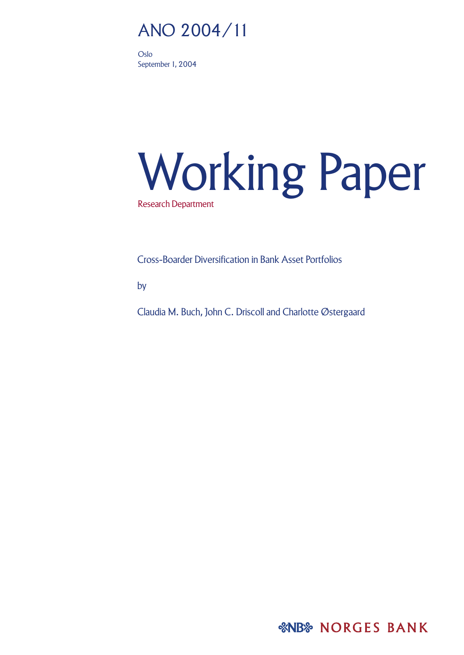# ANO 2004/11

Oslo September 1, 2004

# Working Paper Research Department

Cross-Boarder Diversification in Bank Asset Portfolios

by

Claudia M. Buch, John C. Driscoll and Charlotte Østergaard

*&NB* NORGES BANK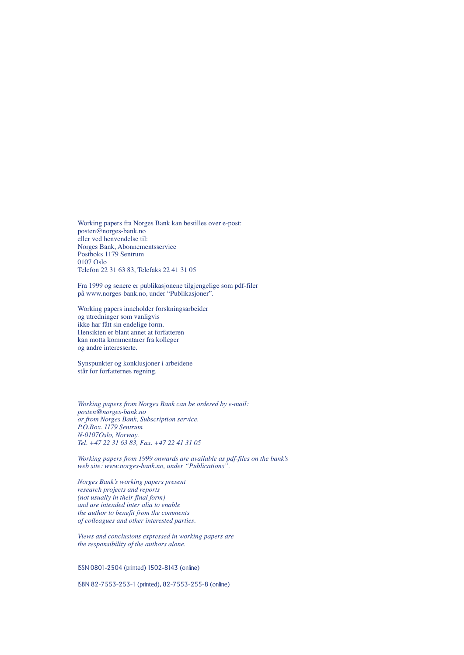Working papers fra Norges Bank kan bestilles over e-post: posten@norges-bank.no eller ved henvendelse til: Norges Bank, Abonnementsservice Postboks 1179 Sentrum 0107 Oslo Telefon 22 31 63 83, Telefaks 22 41 31 05

Fra 1999 og senere er publikasjonene tilgjengelige som pdf-filer på www.norges-bank.no, under "Publikasjoner".

Working papers inneholder forskningsarbeider og utredninger som vanligvis ikke har fått sin endelige form. Hensikten er blant annet at forfatteren kan motta kommentarer fra kolleger og andre interesserte.

Synspunkter og konklusjoner i arbeidene står for forfatternes regning.

*Working papers from Norges Bank can be ordered by e-mail: posten@norges-bank.no or from Norges Bank, Subscription service, P.O.Box. 1179 Sentrum N-0107Oslo, Norway. Tel. +47 22 31 63 83, Fax. +47 22 41 31 05*

*Working papers from 1999 onwards are available as pdf-files on the bank·s web site: www.norges-bank.no, under "Publications".*

*Norges Bank·s working papers present research projects and reports (not usually in their final form) and are intended inter alia to enable the author to benefit from the comments of colleagues and other interested parties.*

*Views and conclusions expressed in working papers are the responsibility of the authors alone.*

ISSN 0801-2504 (printed) 1502-8143 (online)

ISBN 82-7553-253-1 (printed), 82-7553-255-8 (online)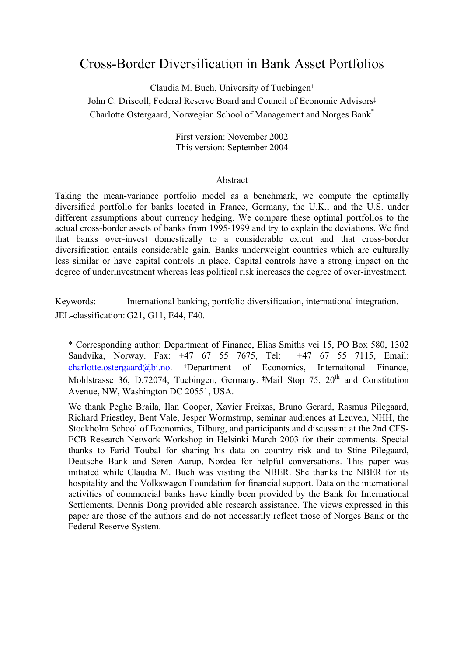# Cross-Border Diversification in Bank Asset Portfolios

Claudia M. Buch, University of Tuebingen†

John C. Driscoll, Federal Reserve Board and Council of Economic Advisors‡ Charlotte Ostergaard, Norwegian School of Management and Norges Bank\*

> First version: November 2002 This version: September 2004

#### Abstract

Taking the mean-variance portfolio model as a benchmark, we compute the optimally diversified portfolio for banks located in France, Germany, the U.K., and the U.S. under different assumptions about currency hedging. We compare these optimal portfolios to the actual cross-border assets of banks from 1995-1999 and try to explain the deviations. We find that banks over-invest domestically to a considerable extent and that cross-border diversification entails considerable gain. Banks underweight countries which are culturally less similar or have capital controls in place. Capital controls have a strong impact on the degree of underinvestment whereas less political risk increases the degree of over-investment.

Keywords: International banking, portfolio diversification, international integration. JEL-classification: G21, G11, E44, F40.  $\mathcal{L}$  , we have the set of the set of the set of the set of the set of the set of the set of the set of the set of the set of the set of the set of the set of the set of the set of the set of the set of the set of the

<sup>\*</sup> Corresponding author: Department of Finance, Elias Smiths vei 15, PO Box 580, 1302 Sandvika, Norway. Fax: +47 67 55 7675, Tel: +47 67 55 7115, Email: charlotte.ostergaard@bi.no. †Department of Economics, Internaitonal Finance, Mohlstrasse 36, D.72074, Tuebingen, Germany. <sup>‡</sup>Mail Stop 75, 20<sup>th</sup> and Constitution Avenue, NW, Washington DC 20551, USA.

We thank Peghe Braila, Ilan Cooper, Xavier Freixas, Bruno Gerard, Rasmus Pilegaard, Richard Priestley, Bent Vale, Jesper Wormstrup, seminar audiences at Leuven, NHH, the Stockholm School of Economics, Tilburg, and participants and discussant at the 2nd CFS-ECB Research Network Workshop in Helsinki March 2003 for their comments. Special thanks to Farid Toubal for sharing his data on country risk and to Stine Pilegaard, Deutsche Bank and Søren Aarup, Nordea for helpful conversations. This paper was initiated while Claudia M. Buch was visiting the NBER. She thanks the NBER for its hospitality and the Volkswagen Foundation for financial support. Data on the international activities of commercial banks have kindly been provided by the Bank for International Settlements. Dennis Dong provided able research assistance. The views expressed in this paper are those of the authors and do not necessarily reflect those of Norges Bank or the Federal Reserve System.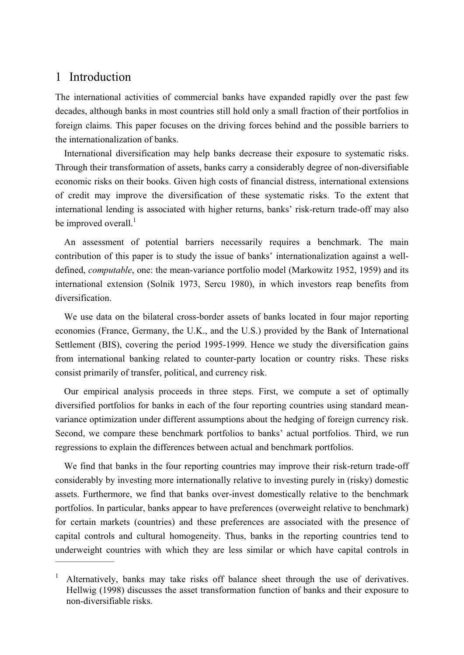# 1 Introduction

The international activities of commercial banks have expanded rapidly over the past few decades, although banks in most countries still hold only a small fraction of their portfolios in foreign claims. This paper focuses on the driving forces behind and the possible barriers to the internationalization of banks.

International diversification may help banks decrease their exposure to systematic risks. Through their transformation of assets, banks carry a considerably degree of non-diversifiable economic risks on their books. Given high costs of financial distress, international extensions of credit may improve the diversification of these systematic risks. To the extent that international lending is associated with higher returns, banks' risk-return trade-off may also be improved overall. $<sup>1</sup>$ </sup>

An assessment of potential barriers necessarily requires a benchmark. The main contribution of this paper is to study the issue of banks' internationalization against a welldefined, *computable*, one: the mean-variance portfolio model (Markowitz 1952, 1959) and its international extension (Solnik 1973, Sercu 1980), in which investors reap benefits from diversification.

We use data on the bilateral cross-border assets of banks located in four major reporting economies (France, Germany, the U.K., and the U.S.) provided by the Bank of International Settlement (BIS), covering the period 1995-1999. Hence we study the diversification gains from international banking related to counter-party location or country risks. These risks consist primarily of transfer, political, and currency risk.

Our empirical analysis proceeds in three steps. First, we compute a set of optimally diversified portfolios for banks in each of the four reporting countries using standard meanvariance optimization under different assumptions about the hedging of foreign currency risk. Second, we compare these benchmark portfolios to banks' actual portfolios. Third, we run regressions to explain the differences between actual and benchmark portfolios.

We find that banks in the four reporting countries may improve their risk-return trade-off considerably by investing more internationally relative to investing purely in (risky) domestic assets. Furthermore, we find that banks over-invest domestically relative to the benchmark portfolios. In particular, banks appear to have preferences (overweight relative to benchmark) for certain markets (countries) and these preferences are associated with the presence of capital controls and cultural homogeneity. Thus, banks in the reporting countries tend to underweight countries with which they are less similar or which have capital controls in  $\overline{\phantom{a}}$ 

<sup>1</sup> Alternatively, banks may take risks off balance sheet through the use of derivatives. Hellwig (1998) discusses the asset transformation function of banks and their exposure to non-diversifiable risks.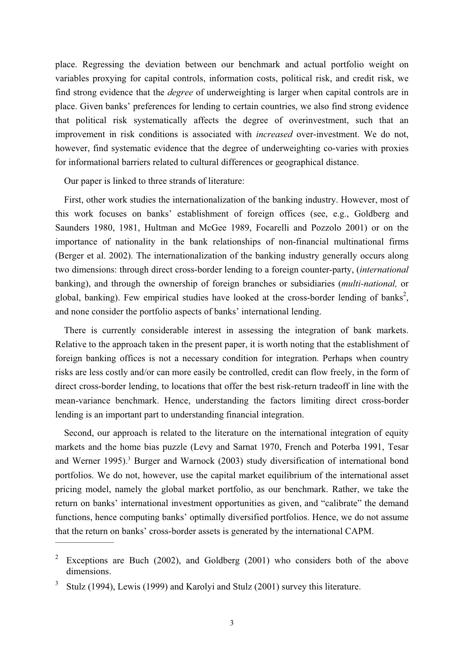place. Regressing the deviation between our benchmark and actual portfolio weight on variables proxying for capital controls, information costs, political risk, and credit risk, we find strong evidence that the *degree* of underweighting is larger when capital controls are in place. Given banks' preferences for lending to certain countries, we also find strong evidence that political risk systematically affects the degree of overinvestment, such that an improvement in risk conditions is associated with *increased* over-investment. We do not, however, find systematic evidence that the degree of underweighting co-varies with proxies for informational barriers related to cultural differences or geographical distance.

Our paper is linked to three strands of literature:

First, other work studies the internationalization of the banking industry. However, most of this work focuses on banks' establishment of foreign offices (see, e.g., Goldberg and Saunders 1980, 1981, Hultman and McGee 1989, Focarelli and Pozzolo 2001) or on the importance of nationality in the bank relationships of non-financial multinational firms (Berger et al. 2002). The internationalization of the banking industry generally occurs along two dimensions: through direct cross-border lending to a foreign counter-party, (*international* banking), and through the ownership of foreign branches or subsidiaries (*multi-national,* or global, banking). Few empirical studies have looked at the cross-border lending of banks<sup>2</sup>, and none consider the portfolio aspects of banks' international lending.

There is currently considerable interest in assessing the integration of bank markets. Relative to the approach taken in the present paper, it is worth noting that the establishment of foreign banking offices is not a necessary condition for integration. Perhaps when country risks are less costly and/or can more easily be controlled, credit can flow freely, in the form of direct cross-border lending, to locations that offer the best risk-return tradeoff in line with the mean-variance benchmark. Hence, understanding the factors limiting direct cross-border lending is an important part to understanding financial integration.

Second, our approach is related to the literature on the international integration of equity markets and the home bias puzzle (Levy and Sarnat 1970, French and Poterba 1991, Tesar and Werner 1995).<sup>3</sup> Burger and Warnock (2003) study diversification of international bond portfolios. We do not, however, use the capital market equilibrium of the international asset pricing model, namely the global market portfolio, as our benchmark. Rather, we take the return on banks' international investment opportunities as given, and "calibrate" the demand functions, hence computing banks' optimally diversified portfolios. Hence, we do not assume that the return on banks' cross-border assets is generated by the international CAPM.  $\mathcal{L}$  and  $\mathcal{L}$  and  $\mathcal{L}$ 

Exceptions are Buch (2002), and Goldberg (2001) who considers both of the above dimensions.

<sup>3</sup> Stulz (1994), Lewis (1999) and Karolyi and Stulz (2001) survey this literature.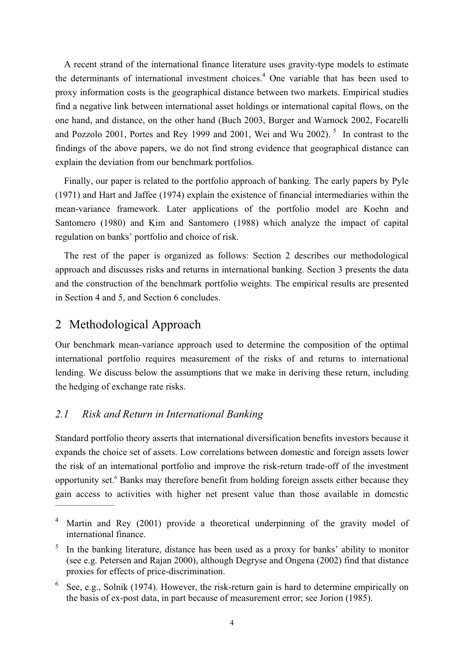A recent strand of the international finance literature uses gravity-type models to estimate the determinants of international investment choices.<sup>4</sup> One variable that has been used to proxy information costs is the geographical distance between two markets. Empirical studies find a negative link between international asset holdings or international capital flows, on the one hand, and distance, on the other hand (Buch 2003, Burger and Warnock 2002, Focarelli and Pozzolo 2001, Portes and Rey 1999 and 2001, Wei and Wu 2002).<sup>5</sup> In contrast to the findings of the above papers, we do not find strong evidence that geographical distance can explain the deviation from our benchmark portfolios.

Finally, our paper is related to the portfolio approach of banking. The early papers by Pyle (1971) and Hart and Jaffee (1974) explain the existence of financial intermediaries within the mean-variance framework. Later applications of the portfolio model are Koehn and Santomero (1980) and Kim and Santomero (1988) which analyze the impact of capital regulation on banks' portfolio and choice of risk.

The rest of the paper is organized as follows: Section 2 describes our methodological approach and discusses risks and returns in international banking. Section 3 presents the data and the construction of the benchmark portfolio weights. The empirical results are presented in Section 4 and 5, and Section 6 concludes.

# 2 Methodological Approach

Our benchmark mean-variance approach used to determine the composition of the optimal international portfolio requires measurement of the risks of and returns to international lending. We discuss below the assumptions that we make in deriving these return, including the hedging of exchange rate risks.

## *2.1 Risk and Return in International Banking*

Standard portfolio theory asserts that international diversification benefits investors because it expands the choice set of assets. Low correlations between domestic and foreign assets lower the risk of an international portfolio and improve the risk-return trade-off of the investment opportunity set.<sup>6</sup> Banks may therefore benefit from holding foreign assets either because they gain access to activities with higher net present value than those available in domestic  $\overline{\phantom{a}}$   $\overline{\phantom{a}}$   $\overline{\phantom{a}}$   $\overline{\phantom{a}}$   $\overline{\phantom{a}}$   $\overline{\phantom{a}}$   $\overline{\phantom{a}}$   $\overline{\phantom{a}}$   $\overline{\phantom{a}}$   $\overline{\phantom{a}}$   $\overline{\phantom{a}}$   $\overline{\phantom{a}}$   $\overline{\phantom{a}}$   $\overline{\phantom{a}}$   $\overline{\phantom{a}}$   $\overline{\phantom{a}}$   $\overline{\phantom{a}}$   $\overline{\phantom{a}}$   $\overline{\$ 

Martin and Rey (2001) provide a theoretical underpinning of the gravity model of international finance.

<sup>&</sup>lt;sup>5</sup> In the banking literature, distance has been used as a proxy for banks' ability to monitor (see e.g. Petersen and Rajan 2000), although Degryse and Ongena (2002) find that distance proxies for effects of price-discrimination.

 $6$  See, e.g., Solnik (1974). However, the risk-return gain is hard to determine empirically on the basis of ex-post data, in part because of measurement error; see Jorion (1985).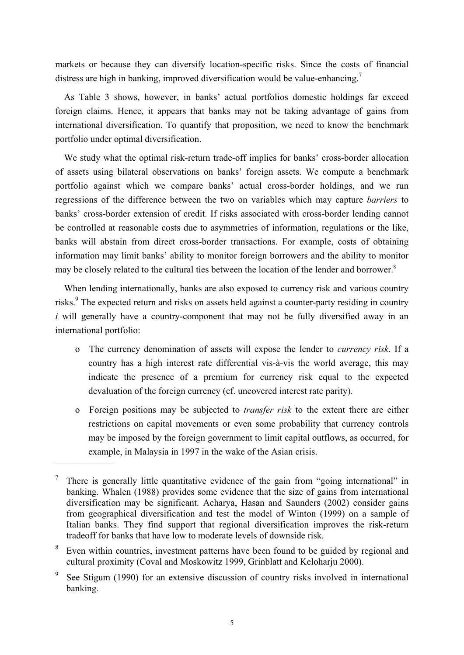markets or because they can diversify location-specific risks. Since the costs of financial distress are high in banking, improved diversification would be value-enhancing.<sup>7</sup>

As Table 3 shows, however, in banks' actual portfolios domestic holdings far exceed foreign claims. Hence, it appears that banks may not be taking advantage of gains from international diversification. To quantify that proposition, we need to know the benchmark portfolio under optimal diversification.

We study what the optimal risk-return trade-off implies for banks' cross-border allocation of assets using bilateral observations on banks' foreign assets. We compute a benchmark portfolio against which we compare banks' actual cross-border holdings, and we run regressions of the difference between the two on variables which may capture *barriers* to banks' cross-border extension of credit. If risks associated with cross-border lending cannot be controlled at reasonable costs due to asymmetries of information, regulations or the like, banks will abstain from direct cross-border transactions. For example, costs of obtaining information may limit banks' ability to monitor foreign borrowers and the ability to monitor may be closely related to the cultural ties between the location of the lender and borrower.<sup>8</sup>

When lending internationally, banks are also exposed to currency risk and various country risks.<sup>9</sup> The expected return and risks on assets held against a counter-party residing in country *i* will generally have a country-component that may not be fully diversified away in an international portfolio:

- o The currency denomination of assets will expose the lender to *currency risk*. If a country has a high interest rate differential vis-à-vis the world average, this may indicate the presence of a premium for currency risk equal to the expected devaluation of the foreign currency (cf. uncovered interest rate parity).
- o Foreign positions may be subjected to *transfer risk* to the extent there are either restrictions on capital movements or even some probability that currency controls may be imposed by the foreign government to limit capital outflows, as occurred, for example, in Malaysia in 1997 in the wake of the Asian crisis.

There is generally little quantitative evidence of the gain from "going international" in banking. Whalen (1988) provides some evidence that the size of gains from international diversification may be significant. Acharya, Hasan and Saunders (2002) consider gains from geographical diversification and test the model of Winton (1999) on a sample of Italian banks. They find support that regional diversification improves the risk-return tradeoff for banks that have low to moderate levels of downside risk.

Even within countries, investment patterns have been found to be guided by regional and cultural proximity (Coval and Moskowitz 1999, Grinblatt and Keloharju 2000).

See Stigum (1990) for an extensive discussion of country risks involved in international banking.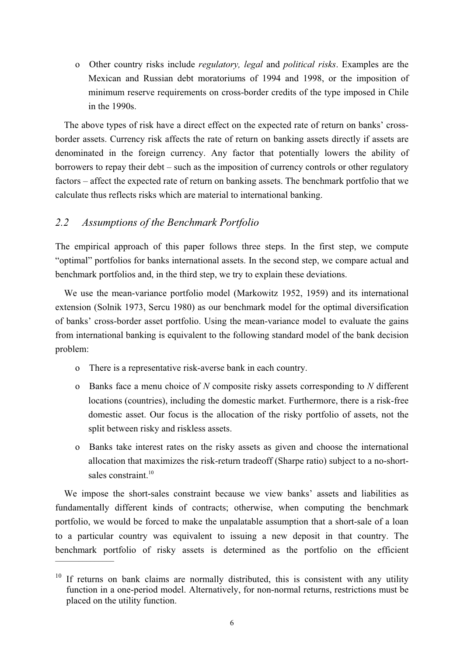o Other country risks include *regulatory, legal* and *political risks*. Examples are the Mexican and Russian debt moratoriums of 1994 and 1998, or the imposition of minimum reserve requirements on cross-border credits of the type imposed in Chile in the 1990s.

The above types of risk have a direct effect on the expected rate of return on banks' crossborder assets. Currency risk affects the rate of return on banking assets directly if assets are denominated in the foreign currency. Any factor that potentially lowers the ability of borrowers to repay their debt – such as the imposition of currency controls or other regulatory factors – affect the expected rate of return on banking assets. The benchmark portfolio that we calculate thus reflects risks which are material to international banking.

## *2.2 Assumptions of the Benchmark Portfolio*

The empirical approach of this paper follows three steps. In the first step, we compute "optimal" portfolios for banks international assets. In the second step, we compare actual and benchmark portfolios and, in the third step, we try to explain these deviations.

We use the mean-variance portfolio model (Markowitz 1952, 1959) and its international extension (Solnik 1973, Sercu 1980) as our benchmark model for the optimal diversification of banks' cross-border asset portfolio. Using the mean-variance model to evaluate the gains from international banking is equivalent to the following standard model of the bank decision problem:

- o There is a representative risk-averse bank in each country.
- o Banks face a menu choice of *N* composite risky assets corresponding to *N* different locations (countries), including the domestic market. Furthermore, there is a risk-free domestic asset. Our focus is the allocation of the risky portfolio of assets, not the split between risky and riskless assets.
- o Banks take interest rates on the risky assets as given and choose the international allocation that maximizes the risk-return tradeoff (Sharpe ratio) subject to a no-shortsales constraint. $10$

We impose the short-sales constraint because we view banks' assets and liabilities as fundamentally different kinds of contracts; otherwise, when computing the benchmark portfolio, we would be forced to make the unpalatable assumption that a short-sale of a loan to a particular country was equivalent to issuing a new deposit in that country. The benchmark portfolio of risky assets is determined as the portfolio on the efficient

 $10$  If returns on bank claims are normally distributed, this is consistent with any utility function in a one-period model. Alternatively, for non-normal returns, restrictions must be placed on the utility function.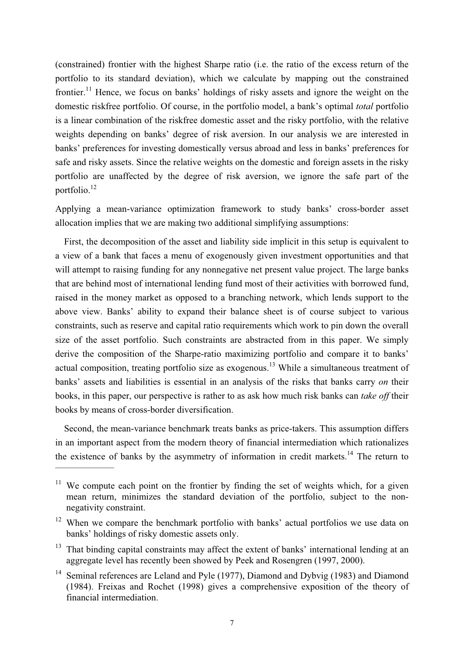(constrained) frontier with the highest Sharpe ratio (i.e. the ratio of the excess return of the portfolio to its standard deviation), which we calculate by mapping out the constrained frontier.<sup>11</sup> Hence, we focus on banks' holdings of risky assets and ignore the weight on the domestic riskfree portfolio. Of course, in the portfolio model, a bank's optimal *total* portfolio is a linear combination of the riskfree domestic asset and the risky portfolio, with the relative weights depending on banks' degree of risk aversion. In our analysis we are interested in banks' preferences for investing domestically versus abroad and less in banks' preferences for safe and risky assets. Since the relative weights on the domestic and foreign assets in the risky portfolio are unaffected by the degree of risk aversion, we ignore the safe part of the portfolio.12

Applying a mean-variance optimization framework to study banks' cross-border asset allocation implies that we are making two additional simplifying assumptions:

First, the decomposition of the asset and liability side implicit in this setup is equivalent to a view of a bank that faces a menu of exogenously given investment opportunities and that will attempt to raising funding for any nonnegative net present value project. The large banks that are behind most of international lending fund most of their activities with borrowed fund, raised in the money market as opposed to a branching network, which lends support to the above view. Banks' ability to expand their balance sheet is of course subject to various constraints, such as reserve and capital ratio requirements which work to pin down the overall size of the asset portfolio. Such constraints are abstracted from in this paper. We simply derive the composition of the Sharpe-ratio maximizing portfolio and compare it to banks' actual composition, treating portfolio size as exogenous.<sup>13</sup> While a simultaneous treatment of banks' assets and liabilities is essential in an analysis of the risks that banks carry *on* their books, in this paper, our perspective is rather to as ask how much risk banks can *take off* their books by means of cross-border diversification.

Second, the mean-variance benchmark treats banks as price-takers. This assumption differs in an important aspect from the modern theory of financial intermediation which rationalizes the existence of banks by the asymmetry of information in credit markets.<sup>14</sup> The return to

- $13$  That binding capital constraints may affect the extent of banks' international lending at an aggregate level has recently been showed by Peek and Rosengren (1997, 2000).
- <sup>14</sup> Seminal references are Leland and Pyle (1977), Diamond and Dybyig (1983) and Diamond (1984). Freixas and Rochet (1998) gives a comprehensive exposition of the theory of financial intermediation.

<sup>&</sup>lt;sup>11</sup> We compute each point on the frontier by finding the set of weights which, for a given mean return, minimizes the standard deviation of the portfolio, subject to the nonnegativity constraint.

<sup>&</sup>lt;sup>12</sup> When we compare the benchmark portfolio with banks' actual portfolios we use data on banks' holdings of risky domestic assets only.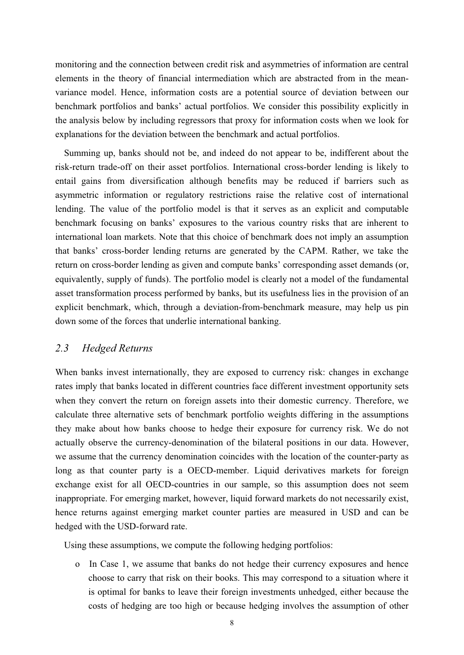monitoring and the connection between credit risk and asymmetries of information are central elements in the theory of financial intermediation which are abstracted from in the meanvariance model. Hence, information costs are a potential source of deviation between our benchmark portfolios and banks' actual portfolios. We consider this possibility explicitly in the analysis below by including regressors that proxy for information costs when we look for explanations for the deviation between the benchmark and actual portfolios.

Summing up, banks should not be, and indeed do not appear to be, indifferent about the risk-return trade-off on their asset portfolios. International cross-border lending is likely to entail gains from diversification although benefits may be reduced if barriers such as asymmetric information or regulatory restrictions raise the relative cost of international lending. The value of the portfolio model is that it serves as an explicit and computable benchmark focusing on banks' exposures to the various country risks that are inherent to international loan markets. Note that this choice of benchmark does not imply an assumption that banks' cross-border lending returns are generated by the CAPM. Rather, we take the return on cross-border lending as given and compute banks' corresponding asset demands (or, equivalently, supply of funds). The portfolio model is clearly not a model of the fundamental asset transformation process performed by banks, but its usefulness lies in the provision of an explicit benchmark, which, through a deviation-from-benchmark measure, may help us pin down some of the forces that underlie international banking.

#### *2.3 Hedged Returns*

When banks invest internationally, they are exposed to currency risk: changes in exchange rates imply that banks located in different countries face different investment opportunity sets when they convert the return on foreign assets into their domestic currency. Therefore, we calculate three alternative sets of benchmark portfolio weights differing in the assumptions they make about how banks choose to hedge their exposure for currency risk. We do not actually observe the currency-denomination of the bilateral positions in our data. However, we assume that the currency denomination coincides with the location of the counter-party as long as that counter party is a OECD-member. Liquid derivatives markets for foreign exchange exist for all OECD-countries in our sample, so this assumption does not seem inappropriate. For emerging market, however, liquid forward markets do not necessarily exist, hence returns against emerging market counter parties are measured in USD and can be hedged with the USD-forward rate.

Using these assumptions, we compute the following hedging portfolios:

o In Case 1, we assume that banks do not hedge their currency exposures and hence choose to carry that risk on their books. This may correspond to a situation where it is optimal for banks to leave their foreign investments unhedged, either because the costs of hedging are too high or because hedging involves the assumption of other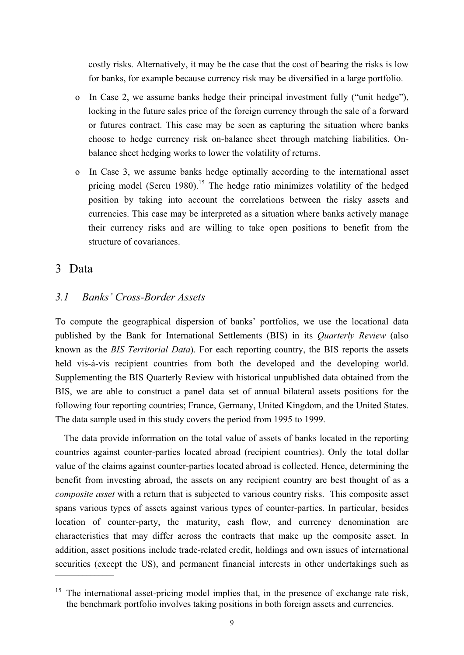costly risks. Alternatively, it may be the case that the cost of bearing the risks is low for banks, for example because currency risk may be diversified in a large portfolio.

- o In Case 2, we assume banks hedge their principal investment fully ("unit hedge"), locking in the future sales price of the foreign currency through the sale of a forward or futures contract. This case may be seen as capturing the situation where banks choose to hedge currency risk on-balance sheet through matching liabilities. Onbalance sheet hedging works to lower the volatility of returns.
- In Case 3, we assume banks hedge optimally according to the international asset pricing model (Sercu 1980).<sup>15</sup> The hedge ratio minimizes volatility of the hedged position by taking into account the correlations between the risky assets and currencies. This case may be interpreted as a situation where banks actively manage their currency risks and are willing to take open positions to benefit from the structure of covariances.

## 3 Data

#### *3.1 Banks' Cross-Border Assets*

To compute the geographical dispersion of banks' portfolios, we use the locational data published by the Bank for International Settlements (BIS) in its *Quarterly Review* (also known as the *BIS Territorial Data*). For each reporting country, the BIS reports the assets held vis-á-vis recipient countries from both the developed and the developing world. Supplementing the BIS Quarterly Review with historical unpublished data obtained from the BIS, we are able to construct a panel data set of annual bilateral assets positions for the following four reporting countries; France, Germany, United Kingdom, and the United States. The data sample used in this study covers the period from 1995 to 1999.

The data provide information on the total value of assets of banks located in the reporting countries against counter-parties located abroad (recipient countries). Only the total dollar value of the claims against counter-parties located abroad is collected. Hence, determining the benefit from investing abroad, the assets on any recipient country are best thought of as a *composite asset* with a return that is subjected to various country risks. This composite asset spans various types of assets against various types of counter-parties. In particular, besides location of counter-party, the maturity, cash flow, and currency denomination are characteristics that may differ across the contracts that make up the composite asset. In addition, asset positions include trade-related credit, holdings and own issues of international securities (except the US), and permanent financial interests in other undertakings such as  $\frac{1}{2}$ 

The international asset-pricing model implies that, in the presence of exchange rate risk, the benchmark portfolio involves taking positions in both foreign assets and currencies.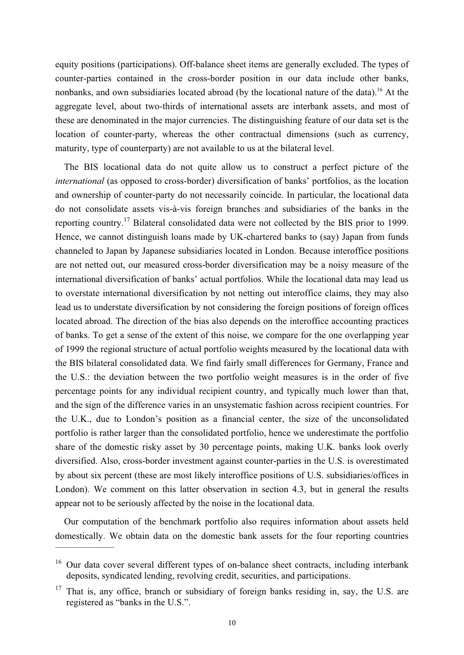equity positions (participations). Off-balance sheet items are generally excluded. The types of counter-parties contained in the cross-border position in our data include other banks, nonbanks, and own subsidiaries located abroad (by the locational nature of the data).<sup>16</sup> At the aggregate level, about two-thirds of international assets are interbank assets, and most of these are denominated in the major currencies. The distinguishing feature of our data set is the location of counter-party, whereas the other contractual dimensions (such as currency, maturity, type of counterparty) are not available to us at the bilateral level.

The BIS locational data do not quite allow us to construct a perfect picture of the *international* (as opposed to cross-border) diversification of banks' portfolios, as the location and ownership of counter-party do not necessarily coincide. In particular, the locational data do not consolidate assets vis-à-vis foreign branches and subsidiaries of the banks in the reporting country.17 Bilateral consolidated data were not collected by the BIS prior to 1999. Hence, we cannot distinguish loans made by UK-chartered banks to (say) Japan from funds channeled to Japan by Japanese subsidiaries located in London. Because interoffice positions are not netted out, our measured cross-border diversification may be a noisy measure of the international diversification of banks' actual portfolios. While the locational data may lead us to overstate international diversification by not netting out interoffice claims, they may also lead us to understate diversification by not considering the foreign positions of foreign offices located abroad. The direction of the bias also depends on the interoffice accounting practices of banks. To get a sense of the extent of this noise, we compare for the one overlapping year of 1999 the regional structure of actual portfolio weights measured by the locational data with the BIS bilateral consolidated data. We find fairly small differences for Germany, France and the U.S.: the deviation between the two portfolio weight measures is in the order of five percentage points for any individual recipient country, and typically much lower than that, and the sign of the difference varies in an unsystematic fashion across recipient countries. For the U.K., due to London's position as a financial center, the size of the unconsolidated portfolio is rather larger than the consolidated portfolio, hence we underestimate the portfolio share of the domestic risky asset by 30 percentage points, making U.K. banks look overly diversified. Also, cross-border investment against counter-parties in the U.S. is overestimated by about six percent (these are most likely interoffice positions of U.S. subsidiaries/offices in London). We comment on this latter observation in section 4.3, but in general the results appear not to be seriously affected by the noise in the locational data.

Our computation of the benchmark portfolio also requires information about assets held domestically. We obtain data on the domestic bank assets for the four reporting countries  $\frac{1}{2}$ 

 $16$  Our data cover several different types of on-balance sheet contracts, including interbank deposits, syndicated lending, revolving credit, securities, and participations.

 $17$  That is, any office, branch or subsidiary of foreign banks residing in, say, the U.S. are registered as "banks in the U.S.".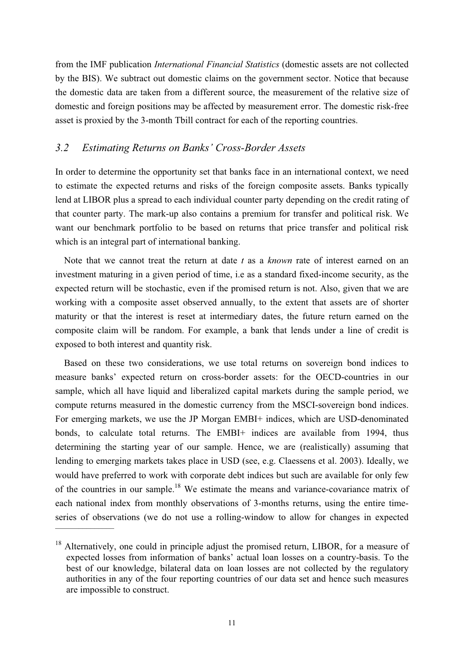from the IMF publication *International Financial Statistics* (domestic assets are not collected by the BIS). We subtract out domestic claims on the government sector. Notice that because the domestic data are taken from a different source, the measurement of the relative size of domestic and foreign positions may be affected by measurement error. The domestic risk-free asset is proxied by the 3-month Tbill contract for each of the reporting countries.

#### *3.2 Estimating Returns on Banks' Cross-Border Assets*

In order to determine the opportunity set that banks face in an international context, we need to estimate the expected returns and risks of the foreign composite assets. Banks typically lend at LIBOR plus a spread to each individual counter party depending on the credit rating of that counter party. The mark-up also contains a premium for transfer and political risk. We want our benchmark portfolio to be based on returns that price transfer and political risk which is an integral part of international banking.

Note that we cannot treat the return at date *t* as a *known* rate of interest earned on an investment maturing in a given period of time, i.e as a standard fixed-income security, as the expected return will be stochastic, even if the promised return is not. Also, given that we are working with a composite asset observed annually, to the extent that assets are of shorter maturity or that the interest is reset at intermediary dates, the future return earned on the composite claim will be random. For example, a bank that lends under a line of credit is exposed to both interest and quantity risk.

Based on these two considerations, we use total returns on sovereign bond indices to measure banks' expected return on cross-border assets: for the OECD-countries in our sample, which all have liquid and liberalized capital markets during the sample period, we compute returns measured in the domestic currency from the MSCI-sovereign bond indices. For emerging markets, we use the JP Morgan EMBI+ indices, which are USD-denominated bonds, to calculate total returns. The EMBI+ indices are available from 1994, thus determining the starting year of our sample. Hence, we are (realistically) assuming that lending to emerging markets takes place in USD (see, e.g. Claessens et al. 2003). Ideally, we would have preferred to work with corporate debt indices but such are available for only few of the countries in our sample.<sup>18</sup> We estimate the means and variance-covariance matrix of each national index from monthly observations of 3-months returns, using the entire timeseries of observations (we do not use a rolling-window to allow for changes in expected  $\mathcal{L}$  and  $\mathcal{L}$  and  $\mathcal{L}$ 

 $18$  Alternatively, one could in principle adjust the promised return, LIBOR, for a measure of expected losses from information of banks' actual loan losses on a country-basis. To the best of our knowledge, bilateral data on loan losses are not collected by the regulatory authorities in any of the four reporting countries of our data set and hence such measures are impossible to construct.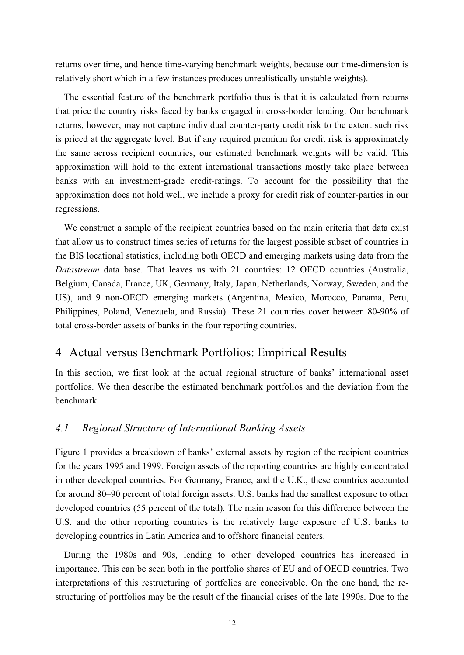returns over time, and hence time-varying benchmark weights, because our time-dimension is relatively short which in a few instances produces unrealistically unstable weights).

The essential feature of the benchmark portfolio thus is that it is calculated from returns that price the country risks faced by banks engaged in cross-border lending. Our benchmark returns, however, may not capture individual counter-party credit risk to the extent such risk is priced at the aggregate level. But if any required premium for credit risk is approximately the same across recipient countries, our estimated benchmark weights will be valid. This approximation will hold to the extent international transactions mostly take place between banks with an investment-grade credit-ratings. To account for the possibility that the approximation does not hold well, we include a proxy for credit risk of counter-parties in our regressions.

We construct a sample of the recipient countries based on the main criteria that data exist that allow us to construct times series of returns for the largest possible subset of countries in the BIS locational statistics, including both OECD and emerging markets using data from the *Datastream* data base. That leaves us with 21 countries: 12 OECD countries (Australia, Belgium, Canada, France, UK, Germany, Italy, Japan, Netherlands, Norway, Sweden, and the US), and 9 non-OECD emerging markets (Argentina, Mexico, Morocco, Panama, Peru, Philippines, Poland, Venezuela, and Russia). These 21 countries cover between 80-90% of total cross-border assets of banks in the four reporting countries.

#### 4 Actual versus Benchmark Portfolios: Empirical Results

In this section, we first look at the actual regional structure of banks' international asset portfolios. We then describe the estimated benchmark portfolios and the deviation from the benchmark.

#### *4.1 Regional Structure of International Banking Assets*

Figure 1 provides a breakdown of banks' external assets by region of the recipient countries for the years 1995 and 1999. Foreign assets of the reporting countries are highly concentrated in other developed countries. For Germany, France, and the U.K., these countries accounted for around 80–90 percent of total foreign assets. U.S. banks had the smallest exposure to other developed countries (55 percent of the total). The main reason for this difference between the U.S. and the other reporting countries is the relatively large exposure of U.S. banks to developing countries in Latin America and to offshore financial centers.

During the 1980s and 90s, lending to other developed countries has increased in importance. This can be seen both in the portfolio shares of EU and of OECD countries. Two interpretations of this restructuring of portfolios are conceivable. On the one hand, the restructuring of portfolios may be the result of the financial crises of the late 1990s. Due to the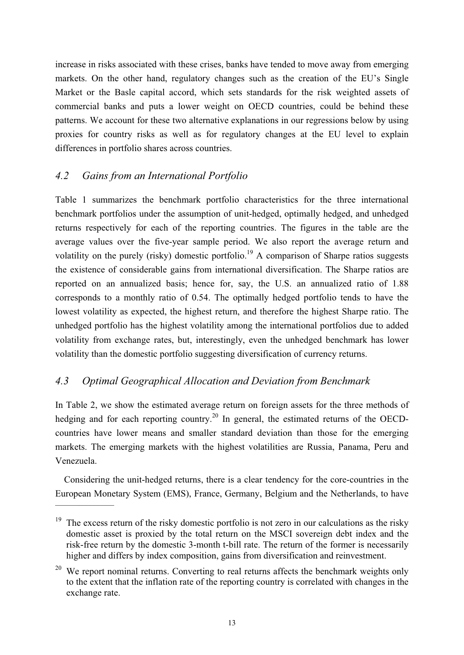increase in risks associated with these crises, banks have tended to move away from emerging markets. On the other hand, regulatory changes such as the creation of the EU's Single Market or the Basle capital accord, which sets standards for the risk weighted assets of commercial banks and puts a lower weight on OECD countries, could be behind these patterns. We account for these two alternative explanations in our regressions below by using proxies for country risks as well as for regulatory changes at the EU level to explain differences in portfolio shares across countries.

# *4.2 Gains from an International Portfolio*

Table 1 summarizes the benchmark portfolio characteristics for the three international benchmark portfolios under the assumption of unit-hedged, optimally hedged, and unhedged returns respectively for each of the reporting countries. The figures in the table are the average values over the five-year sample period. We also report the average return and volatility on the purely (risky) domestic portfolio.<sup>19</sup> A comparison of Sharpe ratios suggests the existence of considerable gains from international diversification. The Sharpe ratios are reported on an annualized basis; hence for, say, the U.S. an annualized ratio of 1.88 corresponds to a monthly ratio of 0.54. The optimally hedged portfolio tends to have the lowest volatility as expected, the highest return, and therefore the highest Sharpe ratio. The unhedged portfolio has the highest volatility among the international portfolios due to added volatility from exchange rates, but, interestingly, even the unhedged benchmark has lower volatility than the domestic portfolio suggesting diversification of currency returns.

# *4.3 Optimal Geographical Allocation and Deviation from Benchmark*

In Table 2, we show the estimated average return on foreign assets for the three methods of hedging and for each reporting country.<sup>20</sup> In general, the estimated returns of the OECDcountries have lower means and smaller standard deviation than those for the emerging markets. The emerging markets with the highest volatilities are Russia, Panama, Peru and Venezuela.

Considering the unit-hedged returns, there is a clear tendency for the core-countries in the European Monetary System (EMS), France, Germany, Belgium and the Netherlands, to have  $\frac{1}{\sqrt{2}}$ 

<sup>&</sup>lt;sup>19</sup> The excess return of the risky domestic portfolio is not zero in our calculations as the risky domestic asset is proxied by the total return on the MSCI sovereign debt index and the risk-free return by the domestic 3-month t-bill rate. The return of the former is necessarily higher and differs by index composition, gains from diversification and reinvestment.

 $20$  We report nominal returns. Converting to real returns affects the benchmark weights only to the extent that the inflation rate of the reporting country is correlated with changes in the exchange rate.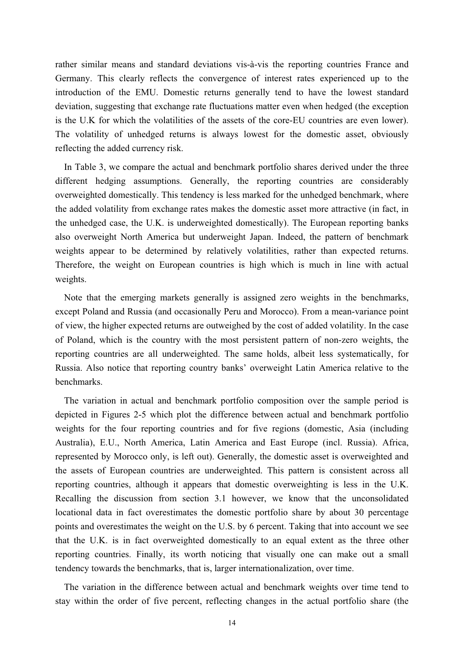rather similar means and standard deviations vis-à-vis the reporting countries France and Germany. This clearly reflects the convergence of interest rates experienced up to the introduction of the EMU. Domestic returns generally tend to have the lowest standard deviation, suggesting that exchange rate fluctuations matter even when hedged (the exception is the U.K for which the volatilities of the assets of the core-EU countries are even lower). The volatility of unhedged returns is always lowest for the domestic asset, obviously reflecting the added currency risk.

In Table 3, we compare the actual and benchmark portfolio shares derived under the three different hedging assumptions. Generally, the reporting countries are considerably overweighted domestically. This tendency is less marked for the unhedged benchmark, where the added volatility from exchange rates makes the domestic asset more attractive (in fact, in the unhedged case, the U.K. is underweighted domestically). The European reporting banks also overweight North America but underweight Japan. Indeed, the pattern of benchmark weights appear to be determined by relatively volatilities, rather than expected returns. Therefore, the weight on European countries is high which is much in line with actual weights.

Note that the emerging markets generally is assigned zero weights in the benchmarks, except Poland and Russia (and occasionally Peru and Morocco). From a mean-variance point of view, the higher expected returns are outweighed by the cost of added volatility. In the case of Poland, which is the country with the most persistent pattern of non-zero weights, the reporting countries are all underweighted. The same holds, albeit less systematically, for Russia. Also notice that reporting country banks' overweight Latin America relative to the benchmarks.

The variation in actual and benchmark portfolio composition over the sample period is depicted in Figures 2-5 which plot the difference between actual and benchmark portfolio weights for the four reporting countries and for five regions (domestic, Asia (including Australia), E.U., North America, Latin America and East Europe (incl. Russia). Africa, represented by Morocco only, is left out). Generally, the domestic asset is overweighted and the assets of European countries are underweighted. This pattern is consistent across all reporting countries, although it appears that domestic overweighting is less in the U.K. Recalling the discussion from section 3.1 however, we know that the unconsolidated locational data in fact overestimates the domestic portfolio share by about 30 percentage points and overestimates the weight on the U.S. by 6 percent. Taking that into account we see that the U.K. is in fact overweighted domestically to an equal extent as the three other reporting countries. Finally, its worth noticing that visually one can make out a small tendency towards the benchmarks, that is, larger internationalization, over time.

The variation in the difference between actual and benchmark weights over time tend to stay within the order of five percent, reflecting changes in the actual portfolio share (the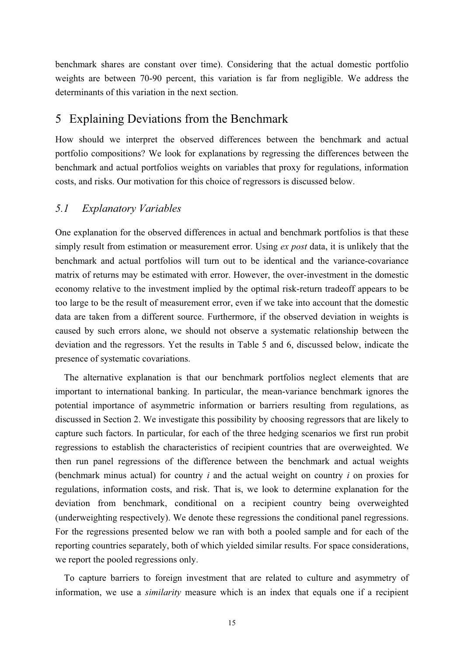benchmark shares are constant over time). Considering that the actual domestic portfolio weights are between 70-90 percent, this variation is far from negligible. We address the determinants of this variation in the next section.

# 5 Explaining Deviations from the Benchmark

How should we interpret the observed differences between the benchmark and actual portfolio compositions? We look for explanations by regressing the differences between the benchmark and actual portfolios weights on variables that proxy for regulations, information costs, and risks. Our motivation for this choice of regressors is discussed below.

#### *5.1 Explanatory Variables*

One explanation for the observed differences in actual and benchmark portfolios is that these simply result from estimation or measurement error. Using *ex post* data, it is unlikely that the benchmark and actual portfolios will turn out to be identical and the variance-covariance matrix of returns may be estimated with error. However, the over-investment in the domestic economy relative to the investment implied by the optimal risk-return tradeoff appears to be too large to be the result of measurement error, even if we take into account that the domestic data are taken from a different source. Furthermore, if the observed deviation in weights is caused by such errors alone, we should not observe a systematic relationship between the deviation and the regressors. Yet the results in Table 5 and 6, discussed below, indicate the presence of systematic covariations.

The alternative explanation is that our benchmark portfolios neglect elements that are important to international banking. In particular, the mean-variance benchmark ignores the potential importance of asymmetric information or barriers resulting from regulations, as discussed in Section 2. We investigate this possibility by choosing regressors that are likely to capture such factors. In particular, for each of the three hedging scenarios we first run probit regressions to establish the characteristics of recipient countries that are overweighted. We then run panel regressions of the difference between the benchmark and actual weights (benchmark minus actual) for country *i* and the actual weight on country *i* on proxies for regulations, information costs, and risk. That is, we look to determine explanation for the deviation from benchmark, conditional on a recipient country being overweighted (underweighting respectively). We denote these regressions the conditional panel regressions. For the regressions presented below we ran with both a pooled sample and for each of the reporting countries separately, both of which yielded similar results. For space considerations, we report the pooled regressions only.

To capture barriers to foreign investment that are related to culture and asymmetry of information, we use a *similarity* measure which is an index that equals one if a recipient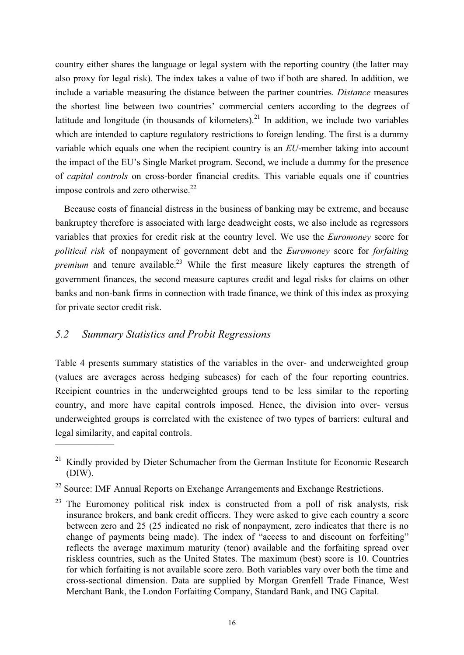country either shares the language or legal system with the reporting country (the latter may also proxy for legal risk). The index takes a value of two if both are shared. In addition, we include a variable measuring the distance between the partner countries. *Distance* measures the shortest line between two countries' commercial centers according to the degrees of latitude and longitude (in thousands of kilometers).<sup>21</sup> In addition, we include two variables which are intended to capture regulatory restrictions to foreign lending. The first is a dummy variable which equals one when the recipient country is an *EU*-member taking into account the impact of the EU's Single Market program. Second, we include a dummy for the presence of *capital controls* on cross-border financial credits. This variable equals one if countries impose controls and zero otherwise. $22$ 

Because costs of financial distress in the business of banking may be extreme, and because bankruptcy therefore is associated with large deadweight costs, we also include as regressors variables that proxies for credit risk at the country level. We use the *Euromoney* score for *political risk* of nonpayment of government debt and the *Euromoney* score for *forfaiting premium* and tenure available.<sup>23</sup> While the first measure likely captures the strength of government finances, the second measure captures credit and legal risks for claims on other banks and non-bank firms in connection with trade finance, we think of this index as proxying for private sector credit risk.

#### *5.2 Summary Statistics and Probit Regressions*

Table 4 presents summary statistics of the variables in the over- and underweighted group (values are averages across hedging subcases) for each of the four reporting countries. Recipient countries in the underweighted groups tend to be less similar to the reporting country, and more have capital controls imposed. Hence, the division into over- versus underweighted groups is correlated with the existence of two types of barriers: cultural and legal similarity, and capital controls.  $\overline{\phantom{a}}$   $\overline{\phantom{a}}$ 

<sup>&</sup>lt;sup>21</sup> Kindly provided by Dieter Schumacher from the German Institute for Economic Research (DIW).

 $22$  Source: IMF Annual Reports on Exchange Arrangements and Exchange Restrictions.

 $23$  The Euromoney political risk index is constructed from a poll of risk analysts, risk insurance brokers, and bank credit officers. They were asked to give each country a score between zero and 25 (25 indicated no risk of nonpayment, zero indicates that there is no change of payments being made). The index of "access to and discount on forfeiting" reflects the average maximum maturity (tenor) available and the forfaiting spread over riskless countries, such as the United States. The maximum (best) score is 10. Countries for which forfaiting is not available score zero. Both variables vary over both the time and cross-sectional dimension. Data are supplied by Morgan Grenfell Trade Finance, West Merchant Bank, the London Forfaiting Company, Standard Bank, and ING Capital.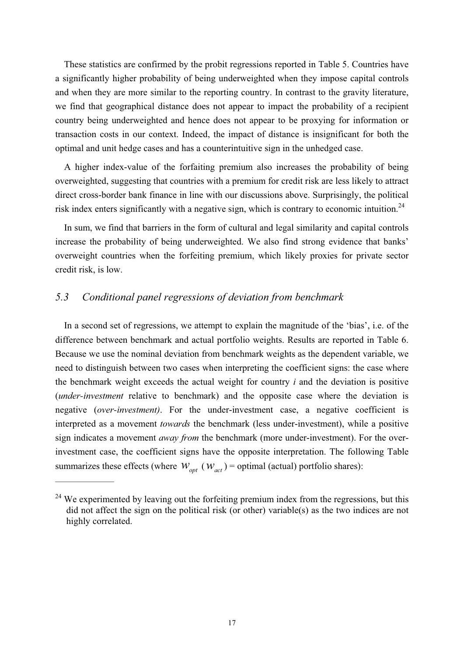These statistics are confirmed by the probit regressions reported in Table 5. Countries have a significantly higher probability of being underweighted when they impose capital controls and when they are more similar to the reporting country. In contrast to the gravity literature, we find that geographical distance does not appear to impact the probability of a recipient country being underweighted and hence does not appear to be proxying for information or transaction costs in our context. Indeed, the impact of distance is insignificant for both the optimal and unit hedge cases and has a counterintuitive sign in the unhedged case.

A higher index-value of the forfaiting premium also increases the probability of being overweighted, suggesting that countries with a premium for credit risk are less likely to attract direct cross-border bank finance in line with our discussions above. Surprisingly, the political risk index enters significantly with a negative sign, which is contrary to economic intuition.<sup>24</sup>

In sum, we find that barriers in the form of cultural and legal similarity and capital controls increase the probability of being underweighted. We also find strong evidence that banks' overweight countries when the forfeiting premium, which likely proxies for private sector credit risk, is low.

#### *5.3 Conditional panel regressions of deviation from benchmark*

 $\frac{1}{2}$ 

In a second set of regressions, we attempt to explain the magnitude of the 'bias', i.e. of the difference between benchmark and actual portfolio weights. Results are reported in Table 6. Because we use the nominal deviation from benchmark weights as the dependent variable, we need to distinguish between two cases when interpreting the coefficient signs: the case where the benchmark weight exceeds the actual weight for country *i* and the deviation is positive (*under-investment* relative to benchmark) and the opposite case where the deviation is negative (*over-investment)*. For the under-investment case, a negative coefficient is interpreted as a movement *towards* the benchmark (less under-investment), while a positive sign indicates a movement *away from* the benchmark (more under-investment). For the overinvestment case, the coefficient signs have the opposite interpretation. The following Table summarizes these effects (where  $W_{opt}$  ( $W_{act}$ ) = optimal (actual) portfolio shares):

<sup>&</sup>lt;sup>24</sup> We experimented by leaving out the forfeiting premium index from the regressions, but this did not affect the sign on the political risk (or other) variable(s) as the two indices are not highly correlated.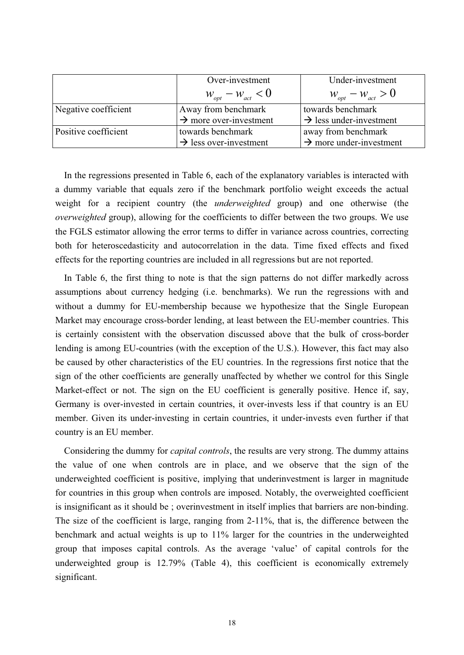|                      | Over-investment                    | Under-investment                      |
|----------------------|------------------------------------|---------------------------------------|
|                      | $W_{opt} - W_{act} < 0$            | $W_{\text{opt}} - W_{\text{act}} > 0$ |
| Negative coefficient | Away from benchmark                | towards benchmark                     |
|                      | $\rightarrow$ more over-investment | $\rightarrow$ less under-investment   |
| Positive coefficient | towards benchmark                  | away from benchmark                   |
|                      | $\rightarrow$ less over-investment | $\rightarrow$ more under-investment   |

In the regressions presented in Table 6, each of the explanatory variables is interacted with a dummy variable that equals zero if the benchmark portfolio weight exceeds the actual weight for a recipient country (the *underweighted* group) and one otherwise (the *overweighted* group), allowing for the coefficients to differ between the two groups. We use the FGLS estimator allowing the error terms to differ in variance across countries, correcting both for heteroscedasticity and autocorrelation in the data. Time fixed effects and fixed effects for the reporting countries are included in all regressions but are not reported.

In Table 6, the first thing to note is that the sign patterns do not differ markedly across assumptions about currency hedging (i.e. benchmarks). We run the regressions with and without a dummy for EU-membership because we hypothesize that the Single European Market may encourage cross-border lending, at least between the EU-member countries. This is certainly consistent with the observation discussed above that the bulk of cross-border lending is among EU-countries (with the exception of the U.S.). However, this fact may also be caused by other characteristics of the EU countries. In the regressions first notice that the sign of the other coefficients are generally unaffected by whether we control for this Single Market-effect or not. The sign on the EU coefficient is generally positive. Hence if, say, Germany is over-invested in certain countries, it over-invests less if that country is an EU member. Given its under-investing in certain countries, it under-invests even further if that country is an EU member.

Considering the dummy for *capital controls*, the results are very strong. The dummy attains the value of one when controls are in place, and we observe that the sign of the underweighted coefficient is positive, implying that underinvestment is larger in magnitude for countries in this group when controls are imposed. Notably, the overweighted coefficient is insignificant as it should be ; overinvestment in itself implies that barriers are non-binding. The size of the coefficient is large, ranging from 2-11%, that is, the difference between the benchmark and actual weights is up to 11% larger for the countries in the underweighted group that imposes capital controls. As the average 'value' of capital controls for the underweighted group is 12.79% (Table 4), this coefficient is economically extremely significant.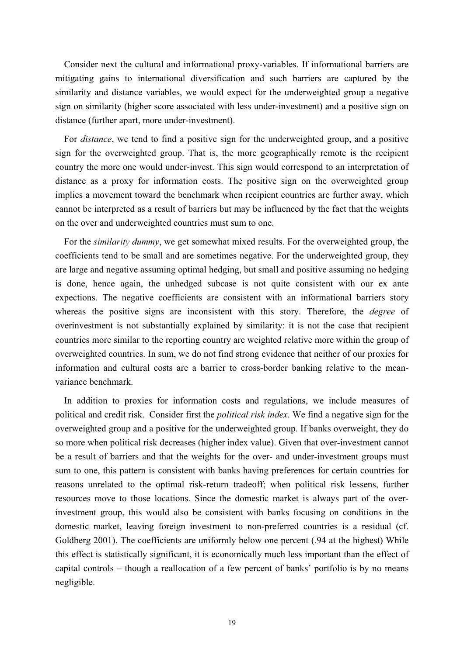Consider next the cultural and informational proxy-variables. If informational barriers are mitigating gains to international diversification and such barriers are captured by the similarity and distance variables, we would expect for the underweighted group a negative sign on similarity (higher score associated with less under-investment) and a positive sign on distance (further apart, more under-investment).

For *distance*, we tend to find a positive sign for the underweighted group, and a positive sign for the overweighted group. That is, the more geographically remote is the recipient country the more one would under-invest. This sign would correspond to an interpretation of distance as a proxy for information costs. The positive sign on the overweighted group implies a movement toward the benchmark when recipient countries are further away, which cannot be interpreted as a result of barriers but may be influenced by the fact that the weights on the over and underweighted countries must sum to one.

For the *similarity dummy*, we get somewhat mixed results. For the overweighted group, the coefficients tend to be small and are sometimes negative. For the underweighted group, they are large and negative assuming optimal hedging, but small and positive assuming no hedging is done, hence again, the unhedged subcase is not quite consistent with our ex ante expections. The negative coefficients are consistent with an informational barriers story whereas the positive signs are inconsistent with this story. Therefore, the *degree* of overinvestment is not substantially explained by similarity: it is not the case that recipient countries more similar to the reporting country are weighted relative more within the group of overweighted countries. In sum, we do not find strong evidence that neither of our proxies for information and cultural costs are a barrier to cross-border banking relative to the meanvariance benchmark.

In addition to proxies for information costs and regulations, we include measures of political and credit risk. Consider first the *political risk index*. We find a negative sign for the overweighted group and a positive for the underweighted group. If banks overweight, they do so more when political risk decreases (higher index value). Given that over-investment cannot be a result of barriers and that the weights for the over- and under-investment groups must sum to one, this pattern is consistent with banks having preferences for certain countries for reasons unrelated to the optimal risk-return tradeoff; when political risk lessens, further resources move to those locations. Since the domestic market is always part of the overinvestment group, this would also be consistent with banks focusing on conditions in the domestic market, leaving foreign investment to non-preferred countries is a residual (cf. Goldberg 2001). The coefficients are uniformly below one percent (.94 at the highest) While this effect is statistically significant, it is economically much less important than the effect of capital controls – though a reallocation of a few percent of banks' portfolio is by no means negligible.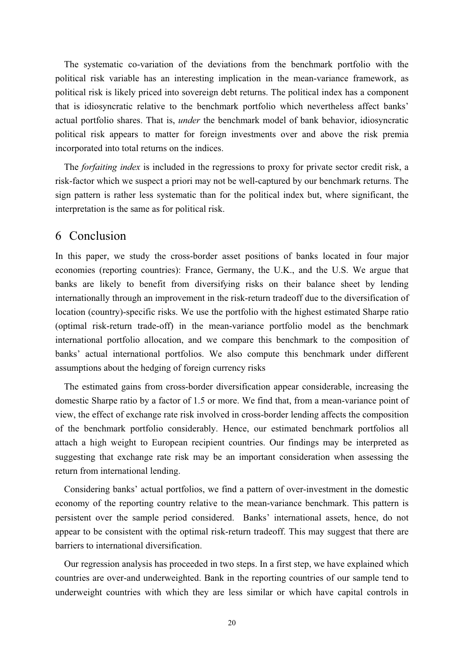The systematic co-variation of the deviations from the benchmark portfolio with the political risk variable has an interesting implication in the mean-variance framework, as political risk is likely priced into sovereign debt returns. The political index has a component that is idiosyncratic relative to the benchmark portfolio which nevertheless affect banks' actual portfolio shares. That is, *under* the benchmark model of bank behavior, idiosyncratic political risk appears to matter for foreign investments over and above the risk premia incorporated into total returns on the indices.

The *forfaiting index* is included in the regressions to proxy for private sector credit risk, a risk-factor which we suspect a priori may not be well-captured by our benchmark returns. The sign pattern is rather less systematic than for the political index but, where significant, the interpretation is the same as for political risk.

# 6 Conclusion

In this paper, we study the cross-border asset positions of banks located in four major economies (reporting countries): France, Germany, the U.K., and the U.S. We argue that banks are likely to benefit from diversifying risks on their balance sheet by lending internationally through an improvement in the risk-return tradeoff due to the diversification of location (country)-specific risks. We use the portfolio with the highest estimated Sharpe ratio (optimal risk-return trade-off) in the mean-variance portfolio model as the benchmark international portfolio allocation, and we compare this benchmark to the composition of banks' actual international portfolios. We also compute this benchmark under different assumptions about the hedging of foreign currency risks

The estimated gains from cross-border diversification appear considerable, increasing the domestic Sharpe ratio by a factor of 1.5 or more. We find that, from a mean-variance point of view, the effect of exchange rate risk involved in cross-border lending affects the composition of the benchmark portfolio considerably. Hence, our estimated benchmark portfolios all attach a high weight to European recipient countries. Our findings may be interpreted as suggesting that exchange rate risk may be an important consideration when assessing the return from international lending.

Considering banks' actual portfolios, we find a pattern of over-investment in the domestic economy of the reporting country relative to the mean-variance benchmark. This pattern is persistent over the sample period considered. Banks' international assets, hence, do not appear to be consistent with the optimal risk-return tradeoff. This may suggest that there are barriers to international diversification.

Our regression analysis has proceeded in two steps. In a first step, we have explained which countries are over-and underweighted. Bank in the reporting countries of our sample tend to underweight countries with which they are less similar or which have capital controls in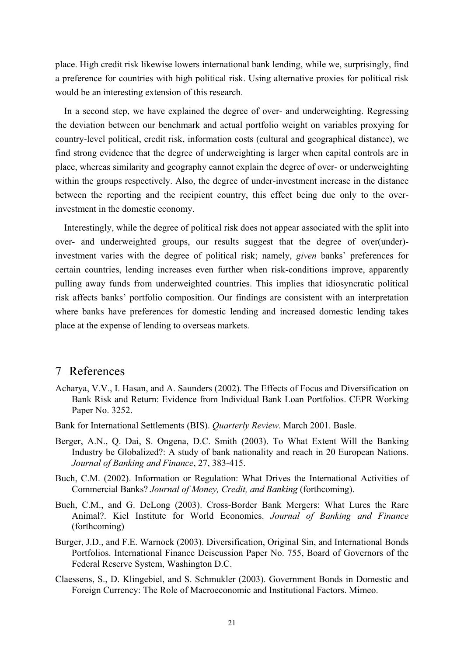place. High credit risk likewise lowers international bank lending, while we, surprisingly, find a preference for countries with high political risk. Using alternative proxies for political risk would be an interesting extension of this research.

In a second step, we have explained the degree of over- and underweighting. Regressing the deviation between our benchmark and actual portfolio weight on variables proxying for country-level political, credit risk, information costs (cultural and geographical distance), we find strong evidence that the degree of underweighting is larger when capital controls are in place, whereas similarity and geography cannot explain the degree of over- or underweighting within the groups respectively. Also, the degree of under-investment increase in the distance between the reporting and the recipient country, this effect being due only to the overinvestment in the domestic economy.

Interestingly, while the degree of political risk does not appear associated with the split into over- and underweighted groups, our results suggest that the degree of over(under) investment varies with the degree of political risk; namely, *given* banks' preferences for certain countries, lending increases even further when risk-conditions improve, apparently pulling away funds from underweighted countries. This implies that idiosyncratic political risk affects banks' portfolio composition. Our findings are consistent with an interpretation where banks have preferences for domestic lending and increased domestic lending takes place at the expense of lending to overseas markets.

# 7 References

- Acharya, V.V., I. Hasan, and A. Saunders (2002). The Effects of Focus and Diversification on Bank Risk and Return: Evidence from Individual Bank Loan Portfolios. CEPR Working Paper No. 3252.
- Bank for International Settlements (BIS). *Quarterly Review*. March 2001. Basle.
- Berger, A.N., Q. Dai, S. Ongena, D.C. Smith (2003). To What Extent Will the Banking Industry be Globalized?: A study of bank nationality and reach in 20 European Nations. *Journal of Banking and Finance*, 27, 383-415.
- Buch, C.M. (2002). Information or Regulation: What Drives the International Activities of Commercial Banks? *Journal of Money, Credit, and Banking* (forthcoming).
- Buch, C.M., and G. DeLong (2003). Cross-Border Bank Mergers: What Lures the Rare Animal?. Kiel Institute for World Economics. *Journal of Banking and Finance* (forthcoming)
- Burger, J.D., and F.E. Warnock (2003). Diversification, Original Sin, and International Bonds Portfolios. International Finance Deiscussion Paper No. 755, Board of Governors of the Federal Reserve System, Washington D.C.
- Claessens, S., D. Klingebiel, and S. Schmukler (2003). Government Bonds in Domestic and Foreign Currency: The Role of Macroeconomic and Institutional Factors. Mimeo.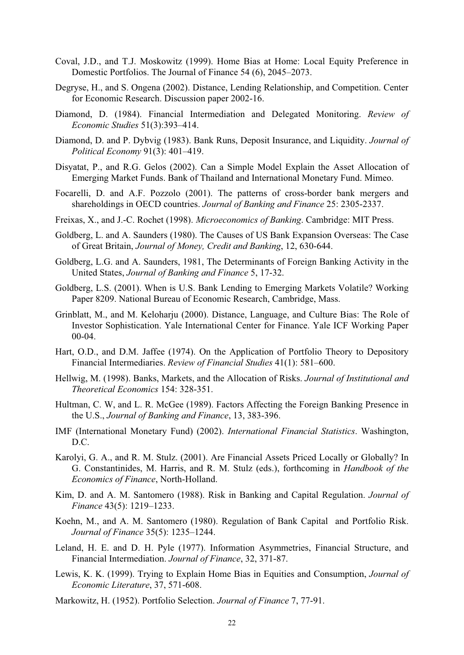- Coval, J.D., and T.J. Moskowitz (1999). Home Bias at Home: Local Equity Preference in Domestic Portfolios. The Journal of Finance 54 (6), 2045–2073.
- Degryse, H., and S. Ongena (2002). Distance, Lending Relationship, and Competition. Center for Economic Research. Discussion paper 2002-16.
- Diamond, D. (1984). Financial Intermediation and Delegated Monitoring. *Review of Economic Studies* 51(3):393–414.
- Diamond, D. and P. Dybvig (1983). Bank Runs, Deposit Insurance, and Liquidity. *Journal of Political Economy* 91(3): 401–419.
- Disyatat, P., and R.G. Gelos (2002). Can a Simple Model Explain the Asset Allocation of Emerging Market Funds. Bank of Thailand and International Monetary Fund. Mimeo.
- Focarelli, D. and A.F. Pozzolo (2001). The patterns of cross-border bank mergers and shareholdings in OECD countries. *Journal of Banking and Finance* 25: 2305-2337.
- Freixas, X., and J.-C. Rochet (1998). *Microeconomics of Banking*. Cambridge: MIT Press.
- Goldberg, L. and A. Saunders (1980). The Causes of US Bank Expansion Overseas: The Case of Great Britain, *Journal of Money, Credit and Banking*, 12, 630-644.
- Goldberg, L.G. and A. Saunders, 1981, The Determinants of Foreign Banking Activity in the United States, *Journal of Banking and Finance* 5, 17-32.
- Goldberg, L.S. (2001). When is U.S. Bank Lending to Emerging Markets Volatile? Working Paper 8209. National Bureau of Economic Research, Cambridge, Mass.
- Grinblatt, M., and M. Keloharju (2000). Distance, Language, and Culture Bias: The Role of Investor Sophistication. Yale International Center for Finance. Yale ICF Working Paper 00-04.
- Hart, O.D., and D.M. Jaffee (1974). On the Application of Portfolio Theory to Depository Financial Intermediaries. *Review of Financial Studies* 41(1): 581–600.
- Hellwig, M. (1998). Banks, Markets, and the Allocation of Risks. *Journal of Institutional and Theoretical Economics* 154: 328-351.
- Hultman, C. W, and L. R. McGee (1989). Factors Affecting the Foreign Banking Presence in the U.S., *Journal of Banking and Finance*, 13, 383-396.
- IMF (International Monetary Fund) (2002). *International Financial Statistics*. Washington, D.C.
- Karolyi, G. A., and R. M. Stulz. (2001). Are Financial Assets Priced Locally or Globally? In G. Constantinides, M. Harris, and R. M. Stulz (eds.), forthcoming in *Handbook of the Economics of Finance*, North-Holland.
- Kim, D. and A. M. Santomero (1988). Risk in Banking and Capital Regulation. *Journal of Finance* 43(5): 1219–1233.
- Koehn, M., and A. M. Santomero (1980). Regulation of Bank Capital and Portfolio Risk. *Journal of Finance* 35(5): 1235–1244.
- Leland, H. E. and D. H. Pyle (1977). Information Asymmetries, Financial Structure, and Financial Intermediation. *Journal of Finance*, 32, 371-87.
- Lewis, K. K. (1999). Trying to Explain Home Bias in Equities and Consumption, *Journal of Economic Literature*, 37, 571-608.
- Markowitz, H. (1952). Portfolio Selection. *Journal of Finance* 7, 77-91.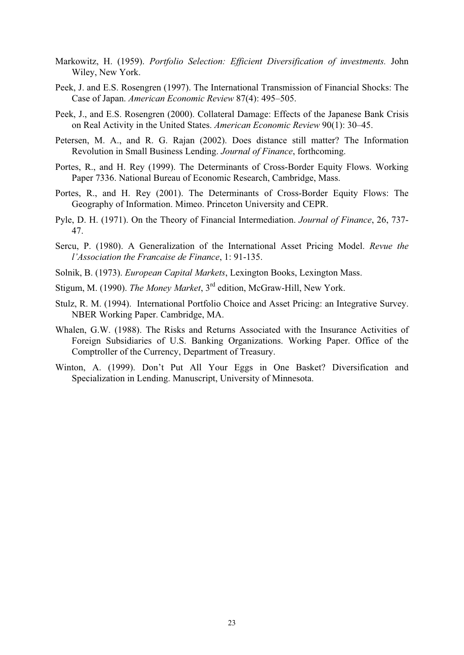- Markowitz, H. (1959). *Portfolio Selection: Efficient Diversification of investments.* John Wiley, New York.
- Peek, J. and E.S. Rosengren (1997). The International Transmission of Financial Shocks: The Case of Japan. *American Economic Review* 87(4): 495–505.
- Peek, J., and E.S. Rosengren (2000). Collateral Damage: Effects of the Japanese Bank Crisis on Real Activity in the United States. *American Economic Review* 90(1): 30–45.
- Petersen, M. A., and R. G. Rajan (2002). Does distance still matter? The Information Revolution in Small Business Lending. *Journal of Finance*, forthcoming.
- Portes, R., and H. Rey (1999). The Determinants of Cross-Border Equity Flows. Working Paper 7336. National Bureau of Economic Research, Cambridge, Mass.
- Portes, R., and H. Rey (2001). The Determinants of Cross-Border Equity Flows: The Geography of Information. Mimeo. Princeton University and CEPR.
- Pyle, D. H. (1971). On the Theory of Financial Intermediation. *Journal of Finance*, 26, 737- 47.
- Sercu, P. (1980). A Generalization of the International Asset Pricing Model. *Revue the l'Association the Francaise de Finance*, 1: 91-135.
- Solnik, B. (1973). *European Capital Markets*, Lexington Books, Lexington Mass.
- Stigum, M. (1990). *The Money Market*, 3rd edition, McGraw-Hill, New York.
- Stulz, R. M. (1994). International Portfolio Choice and Asset Pricing: an Integrative Survey. NBER Working Paper. Cambridge, MA.
- Whalen, G.W. (1988). The Risks and Returns Associated with the Insurance Activities of Foreign Subsidiaries of U.S. Banking Organizations. Working Paper. Office of the Comptroller of the Currency, Department of Treasury.
- Winton, A. (1999). Don't Put All Your Eggs in One Basket? Diversification and Specialization in Lending. Manuscript, University of Minnesota.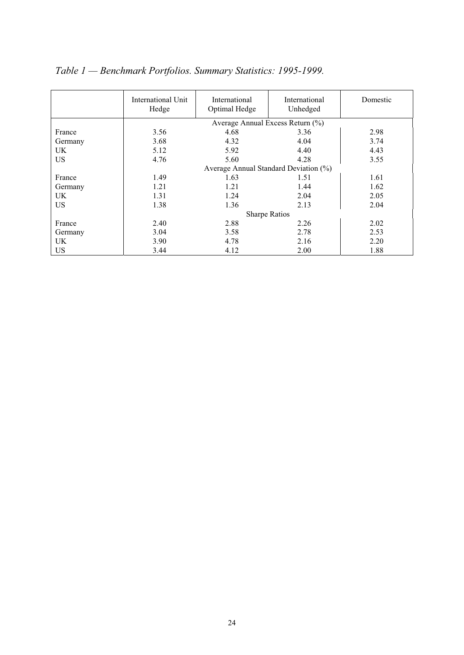|           | International Unit<br>Hedge | International<br>Optimal Hedge        | <b>International</b><br>Unhedged | Domestic |
|-----------|-----------------------------|---------------------------------------|----------------------------------|----------|
|           |                             | Average Annual Excess Return (%)      |                                  |          |
| France    | 3.56                        | 4.68                                  | 3.36                             | 2.98     |
| Germany   | 3.68                        | 4.32                                  | 4.04                             | 3.74     |
| UK        | 5.12                        | 5.92                                  | 4.40                             | 4.43     |
| <b>US</b> | 4.76                        | 5.60                                  | 4.28                             | 3.55     |
|           |                             | Average Annual Standard Deviation (%) |                                  |          |
| France    | 1.49                        | 1.63                                  | 1.51                             | 1.61     |
| Germany   | 1.21                        | 1.21                                  | 1.44                             | 1.62     |
| UK        | 1.31                        | 1.24                                  | 2.04                             | 2.05     |
| <b>US</b> | 1.38                        | 1.36                                  | 2.13                             | 2.04     |
|           |                             | <b>Sharpe Ratios</b>                  |                                  |          |
| France    | 2.40                        | 2.88                                  | 2.26                             | 2.02     |
| Germany   | 3.04                        | 3.58                                  | 2.78                             | 2.53     |
| UK.       | 3.90                        | 4.78                                  | 2.16                             | 2.20     |
| US        | 3.44                        | 4.12                                  | 2.00                             | 1.88     |

*Table 1 — Benchmark Portfolios. Summary Statistics: 1995-1999.*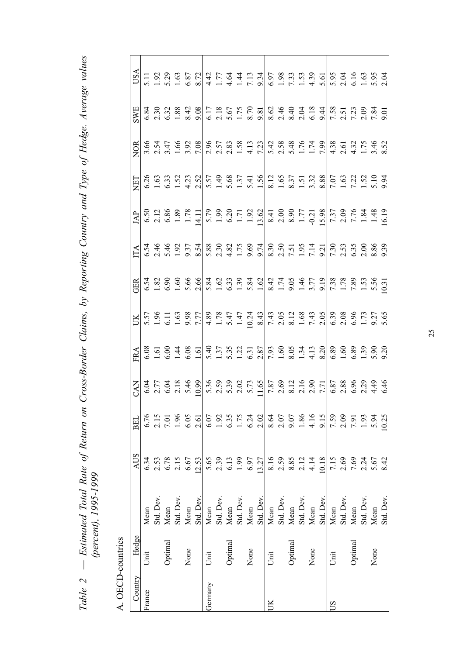| Cross-Border Claims, by Reporting Country and Type of Hedge. Average values |                           |
|-----------------------------------------------------------------------------|---------------------------|
| $\ddot{ }$                                                                  |                           |
| $\sim$ 0to $\sim$                                                           |                           |
| see the the time of                                                         | こくす しくくす<br>$\frac{1}{1}$ |
|                                                                             |                           |
| $\overline{\phantom{a}}$                                                    |                           |
| Ç<br>J                                                                      |                           |

 $A$  OFCD-countries A. OECD-countries

| A. UECD-countres |         |                                        |                                                |                                      |            |                                                                                                                                                                                                                                                                                                                                    |    |     |     |     |                                                                                                                                                                                                                                |            |                                                                                                                                                                                                                                |                               |
|------------------|---------|----------------------------------------|------------------------------------------------|--------------------------------------|------------|------------------------------------------------------------------------------------------------------------------------------------------------------------------------------------------------------------------------------------------------------------------------------------------------------------------------------------|----|-----|-----|-----|--------------------------------------------------------------------------------------------------------------------------------------------------------------------------------------------------------------------------------|------------|--------------------------------------------------------------------------------------------------------------------------------------------------------------------------------------------------------------------------------|-------------------------------|
| Country          | Hedge   |                                        | <b>AUS</b>                                     | <b>BEL</b>                           | <b>KAN</b> | FRA                                                                                                                                                                                                                                                                                                                                | UК | GER | ITA | JAP | ET                                                                                                                                                                                                                             | <b>NOR</b> | SWE                                                                                                                                                                                                                            | $\overline{S}_{\overline{S}}$ |
| France           | Unit    | Mean                                   | 6.34                                           |                                      |            |                                                                                                                                                                                                                                                                                                                                    |    |     |     |     |                                                                                                                                                                                                                                |            |                                                                                                                                                                                                                                |                               |
|                  |         | Std. Dev.                              |                                                | 6.76<br>2.15<br>7.01<br>1.96<br>6.05 |            |                                                                                                                                                                                                                                                                                                                                    |    |     |     |     |                                                                                                                                                                                                                                |            |                                                                                                                                                                                                                                |                               |
|                  | Optimal |                                        |                                                |                                      |            |                                                                                                                                                                                                                                                                                                                                    |    |     |     |     |                                                                                                                                                                                                                                |            |                                                                                                                                                                                                                                |                               |
|                  |         | Mean<br>Std. Dev.                      | 2.53<br>6.78<br>6.67<br>6.67                   |                                      |            |                                                                                                                                                                                                                                                                                                                                    |    |     |     |     |                                                                                                                                                                                                                                |            |                                                                                                                                                                                                                                |                               |
|                  | None    | Mean                                   |                                                |                                      |            |                                                                                                                                                                                                                                                                                                                                    |    |     |     |     |                                                                                                                                                                                                                                |            |                                                                                                                                                                                                                                |                               |
|                  |         | Std. Dev.                              | 12.53                                          | 2.61                                 |            |                                                                                                                                                                                                                                                                                                                                    |    |     |     |     |                                                                                                                                                                                                                                |            | $6.\overline{30}$<br>$0.\overline{30}$<br>$0.\overline{38}$<br>$0.\overline{30}$<br>$0.\overline{30}$<br>$0.\overline{30}$                                                                                                     |                               |
| Germany          | Unit    | Mean                                   |                                                | $6.07$                               |            |                                                                                                                                                                                                                                                                                                                                    |    |     |     |     |                                                                                                                                                                                                                                |            |                                                                                                                                                                                                                                |                               |
|                  |         | Std. Dev.                              |                                                |                                      |            |                                                                                                                                                                                                                                                                                                                                    |    |     |     |     |                                                                                                                                                                                                                                |            |                                                                                                                                                                                                                                |                               |
|                  | Optimal |                                        |                                                |                                      |            |                                                                                                                                                                                                                                                                                                                                    |    |     |     |     |                                                                                                                                                                                                                                |            |                                                                                                                                                                                                                                |                               |
|                  |         | Mean<br>Std. Dev.<br>Mean<br>Std. Dev. | 5.65<br>2.39<br>6.13<br>6.97                   | 1.92<br>6.35<br>1.75<br>6.24<br>2.02 |            |                                                                                                                                                                                                                                                                                                                                    |    |     |     |     |                                                                                                                                                                                                                                |            |                                                                                                                                                                                                                                |                               |
|                  | None    |                                        |                                                |                                      |            |                                                                                                                                                                                                                                                                                                                                    |    |     |     |     |                                                                                                                                                                                                                                |            |                                                                                                                                                                                                                                |                               |
|                  |         |                                        | 13.27                                          |                                      |            |                                                                                                                                                                                                                                                                                                                                    |    |     |     |     |                                                                                                                                                                                                                                |            |                                                                                                                                                                                                                                |                               |
| $\mathbb{R}$     | Unit    | Mean<br>Std. Dev.<br>Mean              |                                                | 8.64<br>2.07<br>9.186<br>4.19        |            | $6.5 \frac{1}{2} 6.5 \frac{1}{4} 8.5 \frac{1}{2} 1.5 \frac{1}{2} 1.5 \frac{1}{2} 1.5 \frac{1}{2} 1.5 \frac{1}{2} 1.5 \frac{1}{2} 1.5 \frac{1}{2} 1.5 \frac{1}{2} 1.5 \frac{1}{2} 1.5 \frac{1}{2} 1.5 \frac{1}{2} 1.5 \frac{1}{2} 1.5 \frac{1}{2} 1.5 \frac{1}{2} 1.5 \frac{1}{2} 1.5 \frac{1}{2} 1.5 \frac{1}{2} 1.5 \frac{1}{2} $ |    |     |     |     | $6.69, 6.99, 6.99, 6.99, 6.99, 6.99, 6.99, 6.99, 6.99, 6.99, 6.99, 6.99, 6.99, 6.99, 6.99, 6.99, 6.99, 6.99, 6.99, 6.99, 6.99, 6.99, 6.99, 6.99, 6.99, 6.99, 6.99, 6.99, 6.99, 6.99, 6.99, 6.99, 6.99, 6.99, 6.99, 6.99, 6.99$ |            | $-5.3$ $-5.5$ $-5.8$ $-5.8$ $-5.8$ $-5.8$ $-5.8$ $-5.8$ $-5.8$ $-5.8$ $-5.8$ $-5.8$ $-5.8$ $-5.8$ $-5.8$ $-5.8$ $-5.8$ $-5.8$ $-5.8$ $-5.8$ $-5.8$ $-5.8$ $-5.8$ $-5.8$ $-5.8$ $-5.8$ $-5.8$ $-5.8$ $-5.8$ $-5.8$ $-5.8$ $-5.$ |                               |
|                  |         |                                        |                                                |                                      |            |                                                                                                                                                                                                                                                                                                                                    |    |     |     |     |                                                                                                                                                                                                                                |            |                                                                                                                                                                                                                                |                               |
|                  | Optimal |                                        | $8.16$<br>$2.59$<br>$8.85$<br>$2.14$<br>$4.14$ |                                      |            |                                                                                                                                                                                                                                                                                                                                    |    |     |     |     |                                                                                                                                                                                                                                |            |                                                                                                                                                                                                                                |                               |
|                  |         |                                        |                                                |                                      |            |                                                                                                                                                                                                                                                                                                                                    |    |     |     |     |                                                                                                                                                                                                                                |            |                                                                                                                                                                                                                                |                               |
|                  | None    | Std. Dev.<br>Mean                      |                                                |                                      |            |                                                                                                                                                                                                                                                                                                                                    |    |     |     |     |                                                                                                                                                                                                                                |            |                                                                                                                                                                                                                                |                               |
|                  |         | Std. Dev.                              | 10.18                                          |                                      |            |                                                                                                                                                                                                                                                                                                                                    |    |     |     |     |                                                                                                                                                                                                                                |            |                                                                                                                                                                                                                                |                               |
| $\mathbf{S}$     | Unit    | Mean                                   |                                                |                                      |            |                                                                                                                                                                                                                                                                                                                                    |    |     |     |     |                                                                                                                                                                                                                                |            |                                                                                                                                                                                                                                |                               |
|                  |         | Std. Dev.                              |                                                | 7.59<br>2.09                         |            |                                                                                                                                                                                                                                                                                                                                    |    |     |     |     |                                                                                                                                                                                                                                |            |                                                                                                                                                                                                                                |                               |
|                  | Optimal |                                        |                                                |                                      |            |                                                                                                                                                                                                                                                                                                                                    |    |     |     |     |                                                                                                                                                                                                                                |            |                                                                                                                                                                                                                                |                               |
|                  |         | Mean<br>Std. Dev.                      |                                                | $7.91$<br>$1.93$<br>$5.94$           |            |                                                                                                                                                                                                                                                                                                                                    |    |     |     |     |                                                                                                                                                                                                                                |            |                                                                                                                                                                                                                                |                               |
|                  | None    | Mean                                   | 15<br>060167<br>060167                         |                                      |            |                                                                                                                                                                                                                                                                                                                                    |    |     |     |     |                                                                                                                                                                                                                                |            |                                                                                                                                                                                                                                |                               |
|                  |         | Std. Dev.                              |                                                | 0.25                                 |            |                                                                                                                                                                                                                                                                                                                                    |    |     |     |     |                                                                                                                                                                                                                                |            |                                                                                                                                                                                                                                |                               |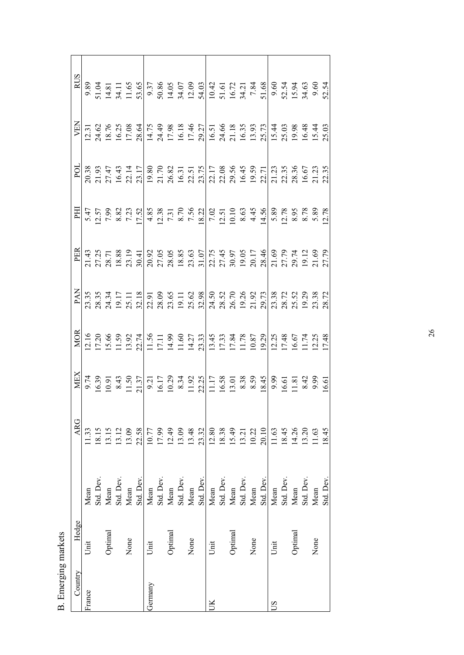| Country | Hedge   |           | <b>ARG</b>              | MEX | <b>MOR</b> |                                                                                                                                                                                                                                                                                                                                                                                                                                                                |                                                                                                                                                                                                                                                                                                                                            |                                                                                                                                                                                                                                                               | POL | <b>NEN</b> |  |
|---------|---------|-----------|-------------------------|-----|------------|----------------------------------------------------------------------------------------------------------------------------------------------------------------------------------------------------------------------------------------------------------------------------------------------------------------------------------------------------------------------------------------------------------------------------------------------------------------|--------------------------------------------------------------------------------------------------------------------------------------------------------------------------------------------------------------------------------------------------------------------------------------------------------------------------------------------|---------------------------------------------------------------------------------------------------------------------------------------------------------------------------------------------------------------------------------------------------------------|-----|------------|--|
| France  | Unit    | Mean      | 1.33                    |     |            | $\begin{array}{l} \mathbb{A} \\ \mathbb{A} \\ \mathbb{B} \\ \mathbb{B} \\ \mathbb{B} \\ \mathbb{B} \\ \mathbb{B} \\ \mathbb{B} \\ \mathbb{B} \\ \mathbb{B} \\ \mathbb{B} \\ \mathbb{B} \\ \mathbb{B} \\ \mathbb{B} \\ \mathbb{B} \\ \mathbb{B} \\ \mathbb{B} \\ \mathbb{B} \\ \mathbb{B} \\ \mathbb{B} \\ \mathbb{B} \\ \mathbb{B} \\ \mathbb{B} \\ \mathbb{B} \\ \mathbb{B} \\ \mathbb{B} \\ \mathbb{B} \\ \mathbb{B} \\ \mathbb{B} \\ \mathbb{B} \\ \mathbb$ | $\frac{1}{2}$ = 1<br>$\frac{1}{3}$ : 2<br>$\frac{1}{3}$ : 2<br>$\frac{1}{3}$ : 2<br>$\frac{1}{3}$ : 2<br>$\frac{1}{3}$ : 2<br>$\frac{1}{3}$ : 2<br>$\frac{1}{3}$ : 2<br>$\frac{1}{3}$ : 2<br>$\frac{1}{3}$ : 2<br>$\frac{1}{3}$ : 2<br>$\frac{1}{3}$ : 2<br>$\frac{1}{3}$ : 2<br>$\frac{1}{3}$ : 2<br>$\frac{1}{3}$ : 2<br>$\frac{1}{3}$ : | $\Xi$ = $\Xi$ + $\Xi$ + $\Xi$ + $\Xi$ + $\Xi$ + $\Xi$ + $\Xi$ + $\Xi$ + $\Xi$ + $\Xi$ + $\Xi$ + $\Xi$ + $\Xi$ + $\Xi$ + $\Xi$ + $\Xi$ + $\Xi$ + $\Xi$ + $\Xi$ + $\Xi$ + $\Xi$ + $\Xi$ + $\Xi$ + $\Xi$ + $\Xi$ + $\Xi$ + $\Xi$ + $\Xi$ + $\Xi$ + $\Xi$ + $\Xi$ |     |            |  |
|         |         | Std. Dev. | 18.15                   |     |            |                                                                                                                                                                                                                                                                                                                                                                                                                                                                |                                                                                                                                                                                                                                                                                                                                            |                                                                                                                                                                                                                                                               |     |            |  |
|         | Optimal | Mean      | 13.15                   |     |            |                                                                                                                                                                                                                                                                                                                                                                                                                                                                |                                                                                                                                                                                                                                                                                                                                            |                                                                                                                                                                                                                                                               |     |            |  |
|         |         | Std. Dev. |                         |     |            |                                                                                                                                                                                                                                                                                                                                                                                                                                                                |                                                                                                                                                                                                                                                                                                                                            |                                                                                                                                                                                                                                                               |     |            |  |
|         | None    | Mean      | 13.12<br>13.09          |     |            |                                                                                                                                                                                                                                                                                                                                                                                                                                                                |                                                                                                                                                                                                                                                                                                                                            |                                                                                                                                                                                                                                                               |     |            |  |
|         |         | Std. Dev  | 22.58                   |     |            |                                                                                                                                                                                                                                                                                                                                                                                                                                                                |                                                                                                                                                                                                                                                                                                                                            |                                                                                                                                                                                                                                                               |     |            |  |
| Germany | Unit    | Mean      | 10.77<br>17.99<br>12.49 |     |            |                                                                                                                                                                                                                                                                                                                                                                                                                                                                |                                                                                                                                                                                                                                                                                                                                            |                                                                                                                                                                                                                                                               |     |            |  |
|         |         | Std. Dev. |                         |     |            |                                                                                                                                                                                                                                                                                                                                                                                                                                                                |                                                                                                                                                                                                                                                                                                                                            |                                                                                                                                                                                                                                                               |     |            |  |
|         | Optimal | Mean      |                         |     |            |                                                                                                                                                                                                                                                                                                                                                                                                                                                                |                                                                                                                                                                                                                                                                                                                                            |                                                                                                                                                                                                                                                               |     |            |  |
|         |         | Std. Dev. | 13.09                   |     |            |                                                                                                                                                                                                                                                                                                                                                                                                                                                                |                                                                                                                                                                                                                                                                                                                                            |                                                                                                                                                                                                                                                               |     |            |  |
|         | None    | Mean      | 13.48                   |     |            |                                                                                                                                                                                                                                                                                                                                                                                                                                                                |                                                                                                                                                                                                                                                                                                                                            |                                                                                                                                                                                                                                                               |     |            |  |
|         |         | Std. Dev  | 23.32                   |     |            |                                                                                                                                                                                                                                                                                                                                                                                                                                                                |                                                                                                                                                                                                                                                                                                                                            |                                                                                                                                                                                                                                                               |     |            |  |
| Š       | Unit    | Mean      | 12.80                   |     |            |                                                                                                                                                                                                                                                                                                                                                                                                                                                                |                                                                                                                                                                                                                                                                                                                                            |                                                                                                                                                                                                                                                               |     |            |  |
|         |         | Std. Dev. | 18.38                   |     |            |                                                                                                                                                                                                                                                                                                                                                                                                                                                                |                                                                                                                                                                                                                                                                                                                                            |                                                                                                                                                                                                                                                               |     |            |  |
|         | Optimal | Mean      | 15.49                   |     |            |                                                                                                                                                                                                                                                                                                                                                                                                                                                                |                                                                                                                                                                                                                                                                                                                                            |                                                                                                                                                                                                                                                               |     |            |  |
|         |         | Std. Dev. |                         |     |            |                                                                                                                                                                                                                                                                                                                                                                                                                                                                |                                                                                                                                                                                                                                                                                                                                            |                                                                                                                                                                                                                                                               |     |            |  |
|         | None    | Mean      | $\frac{13.21}{0.22}$    |     |            |                                                                                                                                                                                                                                                                                                                                                                                                                                                                |                                                                                                                                                                                                                                                                                                                                            |                                                                                                                                                                                                                                                               |     |            |  |
|         |         | Std. Dev  | 20.10                   |     |            |                                                                                                                                                                                                                                                                                                                                                                                                                                                                |                                                                                                                                                                                                                                                                                                                                            |                                                                                                                                                                                                                                                               |     |            |  |
| SQ      | Unit    | Mean      | 1.63                    |     |            |                                                                                                                                                                                                                                                                                                                                                                                                                                                                |                                                                                                                                                                                                                                                                                                                                            |                                                                                                                                                                                                                                                               |     |            |  |
|         |         | Std. Dev. | 18.45                   |     |            |                                                                                                                                                                                                                                                                                                                                                                                                                                                                |                                                                                                                                                                                                                                                                                                                                            |                                                                                                                                                                                                                                                               |     |            |  |
|         | Optimal | Mean      | 14.26                   |     |            |                                                                                                                                                                                                                                                                                                                                                                                                                                                                |                                                                                                                                                                                                                                                                                                                                            |                                                                                                                                                                                                                                                               |     |            |  |
|         |         | Std. Dev. | $13.20$<br>11.63        |     |            |                                                                                                                                                                                                                                                                                                                                                                                                                                                                |                                                                                                                                                                                                                                                                                                                                            |                                                                                                                                                                                                                                                               |     |            |  |
|         | None    | Mean      |                         |     |            |                                                                                                                                                                                                                                                                                                                                                                                                                                                                |                                                                                                                                                                                                                                                                                                                                            |                                                                                                                                                                                                                                                               |     |            |  |
|         |         | Std. Dev  | 8.45                    |     |            |                                                                                                                                                                                                                                                                                                                                                                                                                                                                |                                                                                                                                                                                                                                                                                                                                            |                                                                                                                                                                                                                                                               |     |            |  |

B. Emerging markets B. Emerging markets

26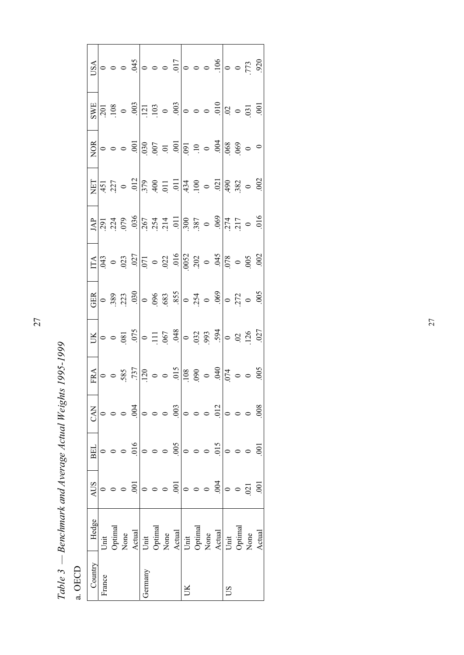Table 3 – Benchmark and Average Actual Weights 1995-1999 *Table 3 — Benchmark and Average Actual Weights 1995-1999* 

a. OECD a. OECD

|                                |                    |  |                                  |         |  |                                                                                                                                                                                                                                                                                                               |         | $\frac{1}{2}$ $\frac{1}{2}$ $\frac{1}{2}$ $\frac{1}{2}$ $\frac{1}{2}$ $\frac{1}{2}$ $\frac{1}{2}$ $\frac{1}{2}$ $\frac{1}{2}$ $\frac{1}{2}$ $\frac{1}{2}$ $\frac{1}{2}$ $\frac{1}{2}$ $\frac{1}{2}$ $\frac{1}{2}$ $\frac{1}{2}$ $\frac{1}{2}$ $\frac{1}{2}$ $\frac{1}{2}$ $\frac{1}{2}$ $\frac{1}{2}$ $\frac{1}{2}$                                           |                                                                       |    | 0.773                   |               |
|--------------------------------|--------------------|--|----------------------------------|---------|--|---------------------------------------------------------------------------------------------------------------------------------------------------------------------------------------------------------------------------------------------------------------------------------------------------------------|---------|---------------------------------------------------------------------------------------------------------------------------------------------------------------------------------------------------------------------------------------------------------------------------------------------------------------------------------------------------------------|-----------------------------------------------------------------------|----|-------------------------|---------------|
|                                |                    |  |                                  |         |  | $\frac{\text{S}}{\text{S}}$ = $\frac{3}{2}$ = $\frac{3}{2}$ = $\frac{3}{2}$ = $\frac{3}{2}$ = $\frac{3}{2}$ = $\frac{3}{2}$ = $\frac{3}{2}$ = $\frac{3}{2}$ = $\frac{3}{2}$ = $\frac{3}{2}$ = $\frac{3}{2}$ = $\frac{3}{2}$ = $\frac{3}{2}$ = $\frac{3}{2}$ = $\frac{3}{2}$ = $\frac{3}{2}$ = $\frac{3}{2}$ = |         |                                                                                                                                                                                                                                                                                                                                                               | $\frac{10}{10}$ = $\frac{10}{10}$ = $\frac{10}{10}$ = $\frac{10}{10}$ |    |                         |               |
|                                |                    |  |                                  |         |  |                                                                                                                                                                                                                                                                                                               |         |                                                                                                                                                                                                                                                                                                                                                               |                                                                       |    |                         |               |
|                                | $\sum_{i=1}^{n} 1$ |  |                                  |         |  |                                                                                                                                                                                                                                                                                                               |         | $\frac{1}{1000}$<br>$\frac{1}{1000}$<br>$\frac{1}{1000}$<br>$\frac{1}{1000}$<br>$\frac{1}{1000}$<br>$\frac{1}{1000}$<br>$\frac{1}{1000}$<br>$\frac{1}{1000}$<br>$\frac{1}{1000}$<br>$\frac{1}{1000}$<br>$\frac{1}{1000}$                                                                                                                                      |                                                                       |    |                         |               |
|                                |                    |  |                                  |         |  |                                                                                                                                                                                                                                                                                                               |         | $\frac{15}{14}$<br>$\frac{1}{4}$<br>$\frac{1}{4}$<br>$\frac{1}{4}$<br>$\frac{1}{4}$<br>$\frac{1}{4}$<br>$\frac{1}{4}$<br>$\frac{1}{4}$<br>$\frac{1}{4}$<br>$\frac{1}{4}$<br>$\frac{1}{4}$<br>$\frac{1}{4}$<br>$\frac{1}{4}$<br>$\frac{1}{4}$<br>$\frac{1}{4}$<br>$\frac{1}{4}$<br>$\frac{1}{4}$<br>$\frac{1}{4}$<br>$\frac{1}{4}$<br>$\frac{1}{4}$<br>        |                                                                       |    |                         |               |
|                                |                    |  |                                  |         |  |                                                                                                                                                                                                                                                                                                               |         | $\frac{14P}{1291}$<br>$\frac{1}{291}$<br>$\frac{4}{291}$<br>$\frac{8}{29}$<br>$\frac{8}{29}$<br>$\frac{1}{291}$<br>$\frac{1}{291}$<br>$\frac{1}{291}$<br>$\frac{1}{291}$<br>$\frac{1}{291}$<br>$\frac{1}{291}$<br>$\frac{1}{291}$<br>$\frac{1}{291}$<br>$\frac{1}{291}$<br>$\frac{1}{291}$<br>$\frac{1}{291}$                                                 |                                                                       |    |                         |               |
|                                |                    |  |                                  |         |  |                                                                                                                                                                                                                                                                                                               |         |                                                                                                                                                                                                                                                                                                                                                               |                                                                       |    |                         |               |
|                                |                    |  |                                  |         |  |                                                                                                                                                                                                                                                                                                               |         | $\frac{12}{100}$ $\frac{12}{100}$ $\frac{12}{100}$ $\frac{12}{100}$ $\frac{12}{100}$ $\frac{12}{100}$ $\frac{12}{100}$ $\frac{12}{100}$ $\frac{12}{100}$ $\frac{12}{100}$ $\frac{12}{100}$ $\frac{12}{100}$ $\frac{12}{100}$ $\frac{12}{100}$ $\frac{12}{100}$ $\frac{12}{100}$                                                                               |                                                                       |    |                         |               |
|                                |                    |  |                                  |         |  |                                                                                                                                                                                                                                                                                                               |         | $\mathbb{R}$ $\sim$ $\frac{1}{2}$ $\frac{1}{2}$ $\approx$ $\frac{1}{2}$ $\frac{1}{2}$ $\approx$ $\frac{1}{2}$ $\approx$ $\frac{1}{2}$ $\approx$ $\frac{1}{2}$ $\approx$ $\frac{1}{2}$ $\approx$ $\frac{1}{2}$ $\approx$ $\frac{1}{2}$ $\approx$ $\frac{1}{2}$ $\approx$ $\frac{1}{2}$ $\approx$ $\frac{1}{2}$ $\approx$ $\approx$ $\frac{1}{2}$ $\approx$ $\$ |                                                                       |    |                         |               |
|                                |                    |  |                                  |         |  |                                                                                                                                                                                                                                                                                                               |         | $\frac{174}{120}$ 0 0 3.57 $\frac{17}{120}$ 0 0 5 $\frac{17}{120}$ 0 0 5 $\frac{17}{120}$ 0 0 5 $\frac{17}{120}$ 0 0 5 $\frac{17}{120}$ 0 0 5 $\frac{17}{120}$ 0 0 5 $\frac{17}{120}$                                                                                                                                                                         |                                                                       |    |                         |               |
| <b>EAN</b>                     |                    |  | .004                             |         |  | .003                                                                                                                                                                                                                                                                                                          |         |                                                                                                                                                                                                                                                                                                                                                               | .012                                                                  |    |                         | .008          |
| BEL                            |                    |  | .016                             |         |  | .005                                                                                                                                                                                                                                                                                                          | $\circ$ |                                                                                                                                                                                                                                                                                                                                                               | 015                                                                   |    |                         | $\bar{\rm s}$ |
| SUV                            |                    |  | $\overline{5}$                   |         |  | $\overline{00}$                                                                                                                                                                                                                                                                                               | $\circ$ |                                                                                                                                                                                                                                                                                                                                                               | .004                                                                  |    | 021                     |               |
| Hedge                          | Unit               |  | Optimal<br>None<br><u>Actual</u> |         |  | Unit<br>Optimal<br>None<br>Actual                                                                                                                                                                                                                                                                             |         | Unit<br>Optimal<br>None<br>Actual                                                                                                                                                                                                                                                                                                                             |                                                                       |    | Unit<br>Optimal<br>None | Actual        |
| $\mathop{\rm Commtr}\nolimits$ | rance              |  |                                  | iermany |  |                                                                                                                                                                                                                                                                                                               | ŠК      |                                                                                                                                                                                                                                                                                                                                                               |                                                                       | SU |                         |               |

27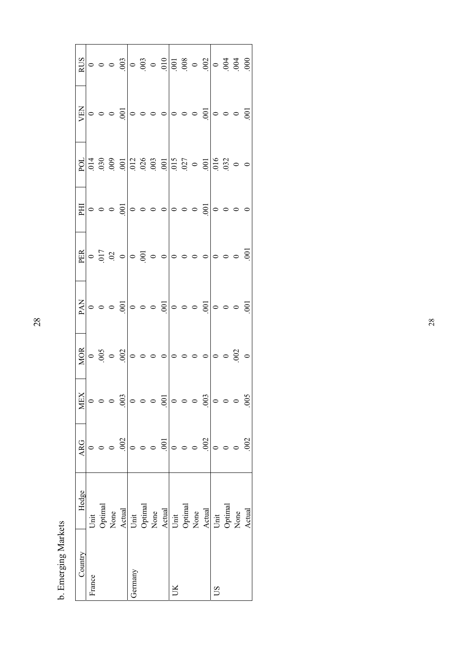|            |        |                 | $\frac{15}{10}$ $\circ$ $\circ$ $\frac{3}{10}$ $\circ$ $\frac{3}{10}$ $\frac{3}{10}$ $\frac{3}{10}$ $\frac{3}{10}$ $\frac{3}{10}$ $\frac{3}{10}$ $\frac{3}{10}$ $\frac{3}{10}$ $\frac{3}{10}$ $\frac{3}{10}$ $\frac{3}{10}$ $\frac{3}{10}$ $\frac{3}{10}$ $\frac{3}{10}$ $\frac{3}{10}$ $\frac{3}{10}$ $\frac{3}{1$                  |         |         |                                                                  |      |    |         |                                   |    |                         |        |
|------------|--------|-----------------|--------------------------------------------------------------------------------------------------------------------------------------------------------------------------------------------------------------------------------------------------------------------------------------------------------------------------------------|---------|---------|------------------------------------------------------------------|------|----|---------|-----------------------------------|----|-------------------------|--------|
| VEN        |        |                 |                                                                                                                                                                                                                                                                                                                                      |         |         |                                                                  |      |    |         |                                   |    |                         |        |
| POL        |        |                 |                                                                                                                                                                                                                                                                                                                                      |         |         |                                                                  |      |    |         |                                   |    |                         |        |
|            |        |                 | $\mathbb{E}   \circ \circ \circ \mathbb{S}   \circ \circ \circ \circ   \circ \circ \circ \mathbb{S}   \circ \circ \circ \circ$                                                                                                                                                                                                       |         |         |                                                                  |      |    |         |                                   |    |                         |        |
|            |        |                 | $\frac{18}{100}$ $\circ$ $\frac{1}{2}$ $\circ$ $\frac{1}{2}$ $\circ$ $\frac{1}{2}$ $\circ$ $\frac{1}{2}$ $\circ$ $\frac{1}{2}$ $\circ$ $\frac{1}{2}$ $\circ$ $\frac{1}{2}$ $\circ$ $\frac{1}{2}$ $\circ$ $\frac{1}{2}$ $\circ$ $\frac{1}{2}$ $\circ$ $\frac{1}{2}$ $\circ$ $\frac{1}{2}$ $\circ$ $\frac{1}{2}$ $\circ$ $\frac{1}{2}$ |         |         |                                                                  |      |    |         |                                   |    |                         |        |
|            |        |                 | $\frac{1}{2}$ $\frac{1}{2}$ $\frac{1}{2}$ $\frac{1}{2}$ $\frac{1}{2}$ $\frac{1}{2}$ $\frac{1}{2}$ $\frac{1}{2}$ $\frac{1}{2}$ $\frac{1}{2}$ $\frac{1}{2}$ $\frac{1}{2}$ $\frac{1}{2}$ $\frac{1}{2}$ $\frac{1}{2}$ $\frac{1}{2}$ $\frac{1}{2}$ $\frac{1}{2}$ $\frac{1}{2}$ $\frac{1}{2}$ $\frac{1}{2}$ $\frac{1}{2}$                  |         |         |                                                                  |      |    |         |                                   |    |                         |        |
| <b>MOR</b> |        |                 | $\circ \stackrel{\circ}{\circ} \circ \stackrel{\circ}{\circ} \stackrel{\circ}{\circ} \circ \circ \circ \circ \circ \circ \circ \circ \circ \circ \circ \circ \circ \circ \circ$                                                                                                                                                      |         |         |                                                                  |      |    |         |                                   |    |                         |        |
| <b>MEX</b> |        |                 | $\circ$ $\circ$ $\frac{3}{2}$                                                                                                                                                                                                                                                                                                        |         |         | $\circ \circ \circ \frac{1}{10} \circ \circ \circ \frac{1}{100}$ |      |    |         |                                   |    | $\circ$ $\circ$ $\circ$ | 005    |
| <b>ARG</b> |        |                 | .002                                                                                                                                                                                                                                                                                                                                 |         | $\circ$ | $\circ$                                                          | .001 |    | $\circ$ | .002                              |    |                         | 002    |
| Hedge      | Unit   | Optimal<br>None | Actual                                                                                                                                                                                                                                                                                                                               |         |         | Unit<br>Optimal<br>None<br>Actual                                |      |    |         | Unit<br>Optimal<br>None<br>Actual |    | Unit<br>Optimal<br>None | Actual |
| Country    | France |                 |                                                                                                                                                                                                                                                                                                                                      | Jermany |         |                                                                  |      | UК |         |                                   | SU |                         |        |

b. Emerging Markets b. Emerging Markets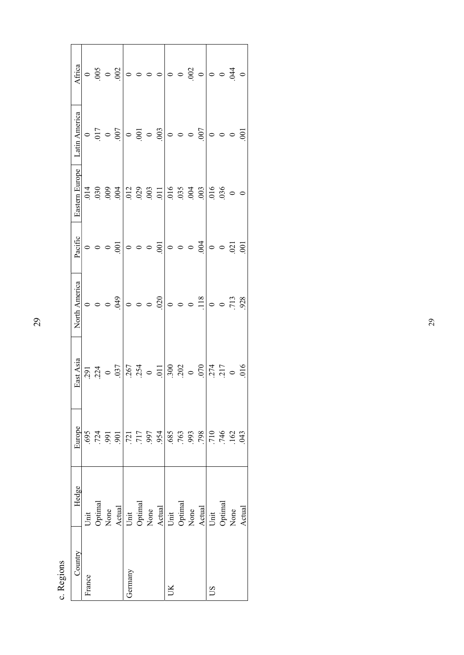| Africa         |         |                                | $\circ \stackrel{5}{8} \circ \stackrel{5}{8} \stackrel{1}{\circ} \circ \circ \circ \circ \circ \circ \circ \stackrel{5}{8} \circ \stackrel{1}{\circ} \circ \stackrel{3}{4} \circ$ |                        |                                      |                                 |         |                              |         |      |         |                       |                  |                |
|----------------|---------|--------------------------------|-----------------------------------------------------------------------------------------------------------------------------------------------------------------------------------|------------------------|--------------------------------------|---------------------------------|---------|------------------------------|---------|------|---------|-----------------------|------------------|----------------|
| Latin America  |         |                                |                                                                                                                                                                                   |                        |                                      |                                 |         |                              |         |      | 0       | $\circ$ $\circ$       |                  | $\overline{5}$ |
| Eastern Europe | .014    |                                |                                                                                                                                                                                   |                        | $\frac{2}{0.02}$<br>$\frac{2}{0.03}$ |                                 |         | $0.016$<br>$0.035$<br>$0.03$ |         |      |         | $\frac{016}{0.036}$   |                  |                |
| Pacific        | $\circ$ | $\circ$ $\circ$ $\overline{S}$ |                                                                                                                                                                                   |                        | $\circ \circ \circ \overline{\circ}$ |                                 |         | $\circ$ $\circ$ $\circ$      |         | .004 | $\circ$ | $\circ$ $\frac{5}{9}$ |                  |                |
| North America  |         | $\circ \circ \circ$            | 610.                                                                                                                                                                              | $\circ$                |                                      | $\circ$ $\circ$ $\frac{50}{20}$ | $\circ$ | $\circ$                      | $\circ$ | .118 | $\circ$ | $\circ$               | $.713$<br>$.928$ |                |
| East Asia      |         | $291$<br>$224$<br>$0$<br>$037$ |                                                                                                                                                                                   | $\frac{267}{254}$ 0 11 |                                      |                                 |         | $300$<br>$002$<br>$000$      |         |      |         |                       |                  |                |
| Europe         |         |                                | $\begin{array}{l} 69.75 & 0.0000 \\ 0.0000 & 0.0000 \\ 0.0000 & 0.0000 \\ 0.0000 & 0.0000 \\ \end{array}$                                                                         |                        |                                      |                                 |         |                              |         |      |         |                       |                  |                |
| Hedge          | Unit    |                                | $\begin{tabular}{l} Optimal \\ None \\ \hline A etual \\ Obtain \\ None \\ None \\ A etual \\ Unit \\ \hline \end{tabular}$                                                       |                        |                                      |                                 |         |                              |         |      |         |                       |                  | Actual         |
| Country        | France  |                                |                                                                                                                                                                                   | Germany                |                                      |                                 | JК      |                              |         |      | SΩ      |                       |                  |                |

c. Regions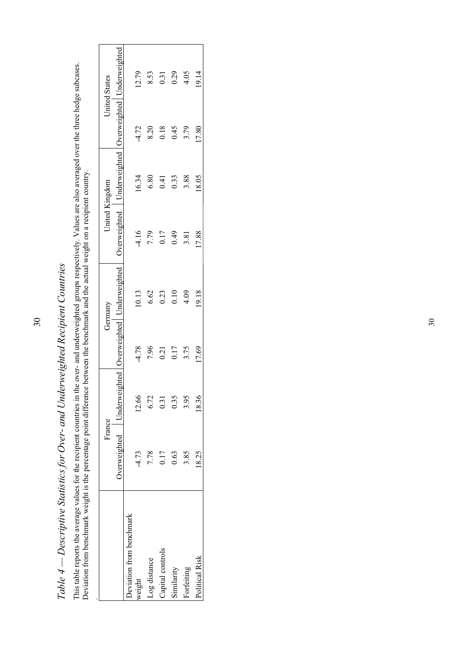| Deviation from benchmark weight is the percentage point difference between the benchmark and the actual weight on a recipient country. |         |                                                             |         |         |                                                             |                |         |                      |
|----------------------------------------------------------------------------------------------------------------------------------------|---------|-------------------------------------------------------------|---------|---------|-------------------------------------------------------------|----------------|---------|----------------------|
|                                                                                                                                        | France  |                                                             |         | Germany | United Kingdom                                              |                |         | <b>United States</b> |
|                                                                                                                                        |         | Overweighted   Underweighted   Overweighted   Underweighted |         |         | Overweighted   Underweighted   Overweighted   Underweighted |                |         |                      |
| Deviation from benchmark                                                                                                               |         |                                                             |         |         |                                                             |                |         |                      |
| weight                                                                                                                                 | $-4.73$ | 12.66                                                       | $-4.78$ | 10.13   | $-4.16$                                                     | 16.34          | $-4.72$ | 12.79                |
| Log distance                                                                                                                           | 7.78    | 6.72                                                        | 7.96    | 6.62    | 7.79                                                        | 6.80           | 8.20    | 8.53                 |
| Capital controls                                                                                                                       | 0.17    | 0.31                                                        | 0.21    | 0.23    | 0.17                                                        | $\overline{1}$ | 0.18    | 0.31                 |
| Similarity                                                                                                                             | 0.63    | 0.35                                                        | 0.17    | 0.10    | 64.0                                                        | 0.33           | 0.45    | 0.29                 |
| Forfeiting                                                                                                                             | 3.85    | 3.95                                                        | 3.75    | 4.09    | 3.81                                                        | 3.88           | 3.79    | 4.05                 |
| Political Risk                                                                                                                         | 18.25   | 18.36                                                       | 17.69   | 19.18   | 17.88                                                       | 18.05          | 7.80    | 19.14                |

| ζ<br>່                                                                                                          |
|-----------------------------------------------------------------------------------------------------------------|
| י היי היי היי ה<br>í<br>l                                                                                       |
| フクナクナリティク・チャクア クラー アクラブ・アクショー そう<br>€                                                                           |
| j<br>コンプ<br>ı<br>í,                                                                                             |
| $\zeta$<br>Ī                                                                                                    |
|                                                                                                                 |
| ł<br>יִ<br> <br> <br>$\mathfrak{c}$                                                                             |
| $\begin{array}{c} \begin{array}{c} \hline \end{array} \\ \hline \end{array}$<br>ו<br>ו<br>$T_{\sim} L$ $I$<br>i |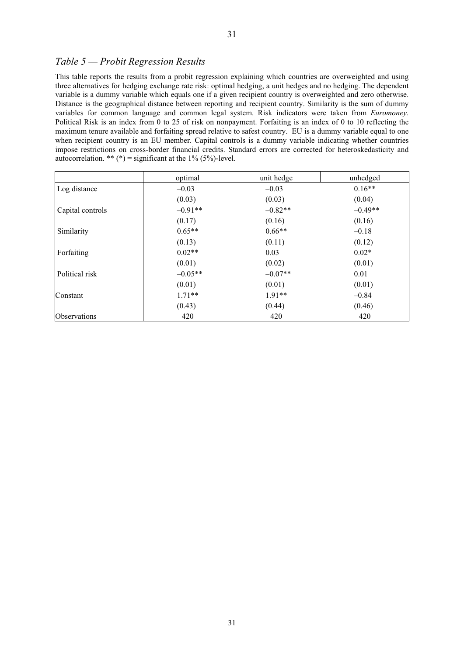#### *Table 5 — Probit Regression Results*

This table reports the results from a probit regression explaining which countries are overweighted and using three alternatives for hedging exchange rate risk: optimal hedging, a unit hedges and no hedging. The dependent variable is a dummy variable which equals one if a given recipient country is overweighted and zero otherwise. Distance is the geographical distance between reporting and recipient country. Similarity is the sum of dummy variables for common language and common legal system. Risk indicators were taken from *Euromoney*. Political Risk is an index from 0 to 25 of risk on nonpayment. Forfaiting is an index of 0 to 10 reflecting the maximum tenure available and forfaiting spread relative to safest country. EU is a dummy variable equal to one when recipient country is an EU member. Capital controls is a dummy variable indicating whether countries impose restrictions on cross-border financial credits. Standard errors are corrected for heteroskedasticity and autocorrelation. \*\* (\*) = significant at the  $1\%$  (5%)-level.

|                  | optimal   | unit hedge | unhedged  |
|------------------|-----------|------------|-----------|
| Log distance     | $-0.03$   | $-0.03$    | $0.16**$  |
|                  | (0.03)    | (0.03)     | (0.04)    |
| Capital controls | $-0.91**$ | $-0.82**$  | $-0.49**$ |
|                  | (0.17)    | (0.16)     | (0.16)    |
| Similarity       | $0.65**$  | $0.66**$   | $-0.18$   |
|                  | (0.13)    | (0.11)     | (0.12)    |
| Forfaiting       | $0.02**$  | 0.03       | $0.02*$   |
|                  | (0.01)    | (0.02)     | (0.01)    |
| Political risk   | $-0.05**$ | $-0.07**$  | 0.01      |
|                  | (0.01)    | (0.01)     | (0.01)    |
| Constant         | $1.71**$  | $1.91**$   | $-0.84$   |
|                  | (0.43)    | (0.44)     | (0.46)    |
| Observations     | 420       | 420        | 420       |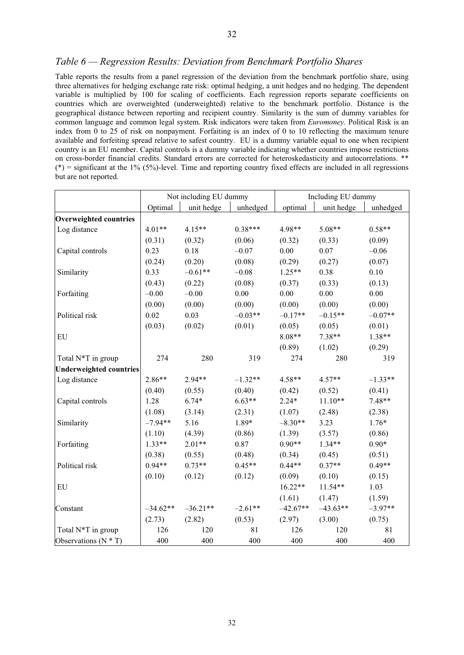#### *Table 6 — Regression Results: Deviation from Benchmark Portfolio Shares*

Table reports the results from a panel regression of the deviation from the benchmark portfolio share, using three alternatives for hedging exchange rate risk: optimal hedging, a unit hedges and no hedging. The dependent variable is multiplied by 100 for scaling of coefficients. Each regression reports separate coefficients on countries which are overweighted (underweighted) relative to the benchmark portfolio. Distance is the geographical distance between reporting and recipient country. Similarity is the sum of dummy variables for common language and common legal system. Risk indicators were taken from *Euromoney*. Political Risk is an index from 0 to 25 of risk on nonpayment. Forfaiting is an index of 0 to 10 reflecting the maximum tenure available and forfeiting spread relative to safest country. EU is a dummy variable equal to one when recipient country is an EU member. Capital controls is a dummy variable indicating whether countries impose restrictions on cross-border financial credits. Standard errors are corrected for heteroskedasticity and autocorrelations. \*\*  $(*)$  = significant at the 1% (5%)-level. Time and reporting country fixed effects are included in all regressions but are not reported.

|                                |            | Not including EU dummy |           |            | Including EU dummy |           |
|--------------------------------|------------|------------------------|-----------|------------|--------------------|-----------|
|                                | Optimal    | unit hedge             | unhedged  | optimal    | unit hedge         | unhedged  |
| <b>Overweighted countries</b>  |            |                        |           |            |                    |           |
| Log distance                   | $4.01**$   | $4.15**$               | $0.38***$ | 4.98**     | 5.08**             | $0.58**$  |
|                                | (0.31)     | (0.32)                 | (0.06)    | (0.32)     | (0.33)             | (0.09)    |
| Capital controls               | 0.23       | 0.18                   | $-0.07$   | 0.00       | $0.07\,$           | $-0.06$   |
|                                | (0.24)     | (0.20)                 | (0.08)    | (0.29)     | (0.27)             | (0.07)    |
| Similarity                     | 0.33       | $-0.61**$              | $-0.08$   | $1.25**$   | 0.38               | 0.10      |
|                                | (0.43)     | (0.22)                 | (0.08)    | (0.37)     | (0.33)             | (0.13)    |
| Forfaiting                     | $-0.00$    | $-0.00$                | $0.00\,$  | 0.00       | 0.00               | 0.00      |
|                                | (0.00)     | (0.00)                 | (0.00)    | (0.00)     | (0.00)             | (0.00)    |
| Political risk                 | 0.02       | 0.03                   | $-0.03**$ | $-0.17**$  | $-0.15**$          | $-0.07**$ |
|                                | (0.03)     | (0.02)                 | (0.01)    | (0.05)     | (0.05)             | (0.01)    |
| EU                             |            |                        |           | $8.08**$   | $7.38**$           | $1.38**$  |
|                                |            |                        |           | (0.89)     | (1.02)             | (0.29)    |
| Total N*T in group             | 274        | 280                    | 319       | 274        | 280                | 319       |
| <b>Underweighted countries</b> |            |                        |           |            |                    |           |
| Log distance                   | 2.86**     | 2.94**                 | $-1.32**$ | $4.58**$   | $4.57**$           | $-1.33**$ |
|                                | (0.40)     | (0.55)                 | (0.40)    | (0.42)     | (0.52)             | (0.41)    |
| Capital controls               | 1.28       | $6.74*$                | $6.63**$  | $2.24*$    | $11.10**$          | $7.48**$  |
|                                | (1.08)     | (3.14)                 | (2.31)    | (1.07)     | (2.48)             | (2.38)    |
| Similarity                     | $-7.94**$  | 5.16                   | $1.89*$   | $-8.30**$  | 3.23               | $1.76*$   |
|                                | (1.10)     | (4.39)                 | (0.86)    | (1.39)     | (3.57)             | (0.86)    |
| Forfaiting                     | $1.33**$   | $2.01**$               | 0.87      | $0.90**$   | $1.34**$           | $0.90*$   |
|                                | (0.38)     | (0.55)                 | (0.48)    | (0.34)     | (0.45)             | (0.51)    |
| Political risk                 | $0.94**$   | $0.73**$               | $0.45**$  | $0.44**$   | $0.37**$           | $0.49**$  |
|                                | (0.10)     | (0.12)                 | (0.12)    | (0.09)     | (0.10)             | (0.15)    |
| EU                             |            |                        |           | $16.22**$  | $11.54**$          | 1.03      |
|                                |            |                        |           | (1.61)     | (1.47)             | (1.59)    |
| Constant                       | $-34.62**$ | $-36.21**$             | $-2.61**$ | $-42.67**$ | $-43.63**$         | $-3.97**$ |
|                                | (2.73)     | (2.82)                 | (0.53)    | (2.97)     | (3.00)             | (0.75)    |
| Total N*T in group             | 126        | 120                    | 81        | 126        | 120                | 81        |
| Observations $(N * T)$         | 400        | 400                    | 400       | 400        | 400                | 400       |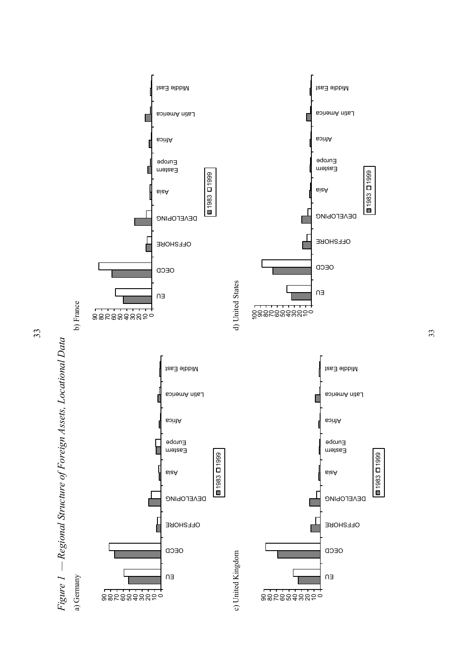



1983 1999

■1983 ロ1999

1983 1999

 $\frac{1}{1983}$  D1999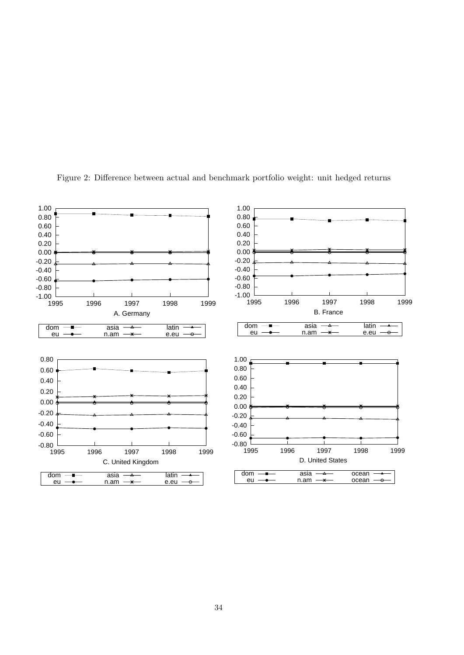

Figure 2: Difference between actual and benchmark portfolio weight: unit hedged returns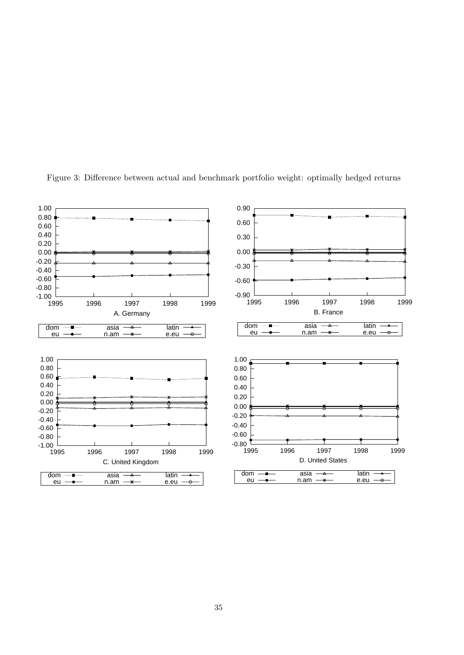

Figure 3: Difference between actual and benchmark portfolio weight: optimally hedged returns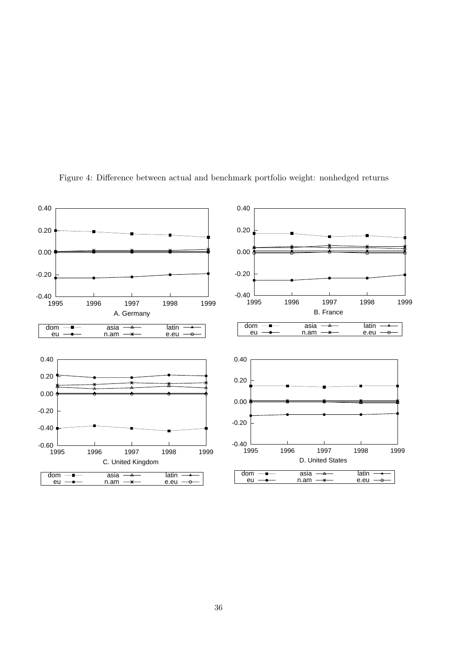

Figure 4: Difference between actual and benchmark portfolio weight: nonhedged returns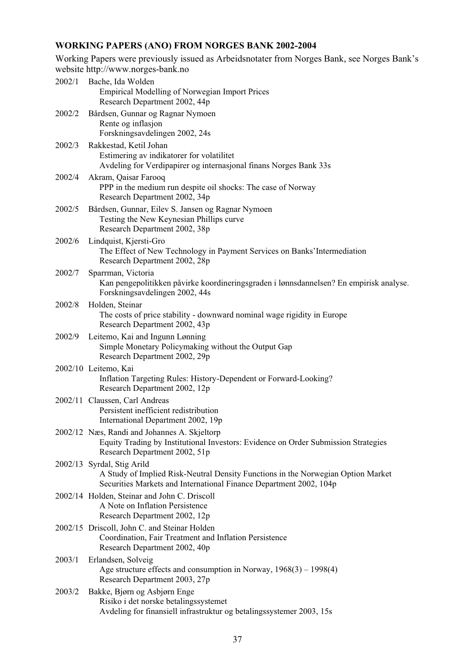# **WORKING PAPERS (ANO) FROM NORGES BANK 2002-2004**

Working Papers were previously issued as Arbeidsnotater from Norges Bank, see Norges Bank's website http://www.norges-bank.no

| 2002/1 | Bache, Ida Wolden<br><b>Empirical Modelling of Norwegian Import Prices</b><br>Research Department 2002, 44p                                                                          |
|--------|--------------------------------------------------------------------------------------------------------------------------------------------------------------------------------------|
| 2002/2 | Bårdsen, Gunnar og Ragnar Nymoen<br>Rente og inflasjon<br>Forskningsavdelingen 2002, 24s                                                                                             |
| 2002/3 | Rakkestad, Ketil Johan<br>Estimering av indikatorer for volatilitet<br>Avdeling for Verdipapirer og internasjonal finans Norges Bank 33s                                             |
| 2002/4 | Akram, Qaisar Farooq<br>PPP in the medium run despite oil shocks: The case of Norway<br>Research Department 2002, 34p                                                                |
| 2002/5 | Bårdsen, Gunnar, Eilev S. Jansen og Ragnar Nymoen<br>Testing the New Keynesian Phillips curve<br>Research Department 2002, 38p                                                       |
| 2002/6 | Lindquist, Kjersti-Gro<br>The Effect of New Technology in Payment Services on Banks' Intermediation<br>Research Department 2002, 28p                                                 |
| 2002/7 | Sparrman, Victoria<br>Kan pengepolitikken påvirke koordineringsgraden i lønnsdannelsen? En empirisk analyse.<br>Forskningsavdelingen 2002, 44s                                       |
| 2002/8 | Holden, Steinar<br>The costs of price stability - downward nominal wage rigidity in Europe<br>Research Department 2002, 43p                                                          |
| 2002/9 | Leitemo, Kai and Ingunn Lønning<br>Simple Monetary Policymaking without the Output Gap<br>Research Department 2002, 29p                                                              |
|        | 2002/10 Leitemo, Kai<br>Inflation Targeting Rules: History-Dependent or Forward-Looking?<br>Research Department 2002, 12p                                                            |
|        | 2002/11 Claussen, Carl Andreas<br>Persistent inefficient redistribution<br>International Department 2002, 19p                                                                        |
|        | 2002/12 Næs, Randi and Johannes A. Skjeltorp<br>Equity Trading by Institutional Investors: Evidence on Order Submission Strategies<br>Research Department 2002, 51p                  |
|        | 2002/13 Syrdal, Stig Arild<br>A Study of Implied Risk-Neutral Density Functions in the Norwegian Option Market<br>Securities Markets and International Finance Department 2002, 104p |
|        | 2002/14 Holden, Steinar and John C. Driscoll<br>A Note on Inflation Persistence<br>Research Department 2002, 12p                                                                     |
|        | 2002/15 Driscoll, John C. and Steinar Holden<br>Coordination, Fair Treatment and Inflation Persistence<br>Research Department 2002, 40p                                              |
| 2003/1 | Erlandsen, Solveig<br>Age structure effects and consumption in Norway, $1968(3) - 1998(4)$<br>Research Department 2003, 27p                                                          |
| 2003/2 | Bakke, Bjørn og Asbjørn Enge<br>Risiko i det norske betalingssystemet<br>Avdeling for finansiell infrastruktur og betalingssystemer 2003, 15s                                        |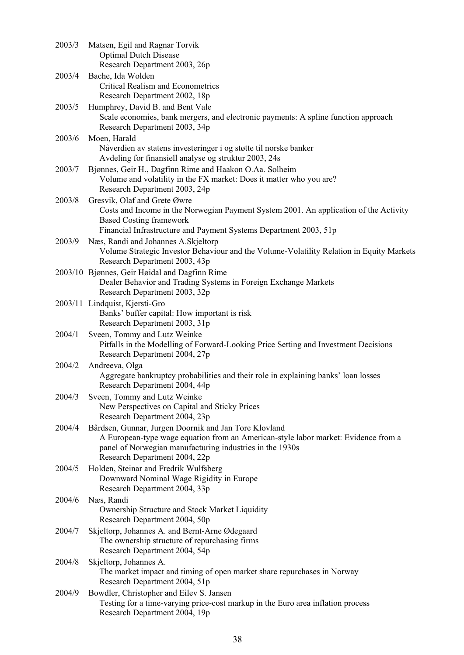| 2003/3 | Matsen, Egil and Ragnar Torvik<br><b>Optimal Dutch Disease</b><br>Research Department 2003, 26p                                                                                                                                          |
|--------|------------------------------------------------------------------------------------------------------------------------------------------------------------------------------------------------------------------------------------------|
| 2003/4 | Bache, Ida Wolden                                                                                                                                                                                                                        |
|        | <b>Critical Realism and Econometrics</b>                                                                                                                                                                                                 |
|        | Research Department 2002, 18p                                                                                                                                                                                                            |
| 2003/5 | Humphrey, David B. and Bent Vale<br>Scale economies, bank mergers, and electronic payments: A spline function approach<br>Research Department 2003, 34p                                                                                  |
| 2003/6 | Moen, Harald<br>Nåverdien av statens investeringer i og støtte til norske banker<br>Avdeling for finansiell analyse og struktur 2003, 24s                                                                                                |
| 2003/7 | Bjønnes, Geir H., Dagfinn Rime and Haakon O.Aa. Solheim<br>Volume and volatility in the FX market: Does it matter who you are?<br>Research Department 2003, 24p                                                                          |
| 2003/8 | Gresvik, Olaf and Grete Øwre<br>Costs and Income in the Norwegian Payment System 2001. An application of the Activity<br><b>Based Costing framework</b>                                                                                  |
|        | Financial Infrastructure and Payment Systems Department 2003, 51p                                                                                                                                                                        |
| 2003/9 | Næs, Randi and Johannes A. Skjeltorp<br>Volume Strategic Investor Behaviour and the Volume-Volatility Relation in Equity Markets<br>Research Department 2003, 43p                                                                        |
|        | 2003/10 Bjønnes, Geir Høidal and Dagfinn Rime<br>Dealer Behavior and Trading Systems in Foreign Exchange Markets<br>Research Department 2003, 32p                                                                                        |
|        | 2003/11 Lindquist, Kjersti-Gro<br>Banks' buffer capital: How important is risk<br>Research Department 2003, 31p                                                                                                                          |
| 2004/1 | Sveen, Tommy and Lutz Weinke<br>Pitfalls in the Modelling of Forward-Looking Price Setting and Investment Decisions<br>Research Department 2004, 27p                                                                                     |
| 2004/2 | Andreeva, Olga<br>Aggregate bankruptcy probabilities and their role in explaining banks' loan losses<br>Research Department 2004, 44p                                                                                                    |
| 2004/3 | Sveen, Tommy and Lutz Weinke<br>New Perspectives on Capital and Sticky Prices<br>Research Department 2004, 23p                                                                                                                           |
| 2004/4 | Bårdsen, Gunnar, Jurgen Doornik and Jan Tore Klovland<br>A European-type wage equation from an American-style labor market: Evidence from a<br>panel of Norwegian manufacturing industries in the 1930s<br>Research Department 2004, 22p |
| 2004/5 | Holden, Steinar and Fredrik Wulfsberg<br>Downward Nominal Wage Rigidity in Europe<br>Research Department 2004, 33p                                                                                                                       |
| 2004/6 | Næs, Randi<br>Ownership Structure and Stock Market Liquidity<br>Research Department 2004, 50p                                                                                                                                            |
| 2004/7 | Skjeltorp, Johannes A. and Bernt-Arne Ødegaard<br>The ownership structure of repurchasing firms<br>Research Department 2004, 54p                                                                                                         |
| 2004/8 | Skjeltorp, Johannes A.<br>The market impact and timing of open market share repurchases in Norway<br>Research Department 2004, 51p                                                                                                       |
| 2004/9 | Bowdler, Christopher and Eilev S. Jansen<br>Testing for a time-varying price-cost markup in the Euro area inflation process<br>Research Department 2004, 19p                                                                             |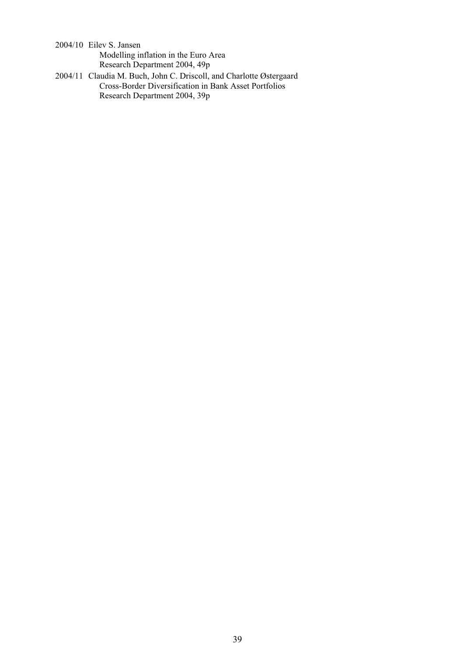2004/10 Eilev S. Jansen Modelling inflation in the Euro Area Research Department 2004, 49p

2004/11 Claudia M. Buch, John C. Driscoll, and Charlotte Østergaard Cross-Border Diversification in Bank Asset Portfolios Research Department 2004, 39p